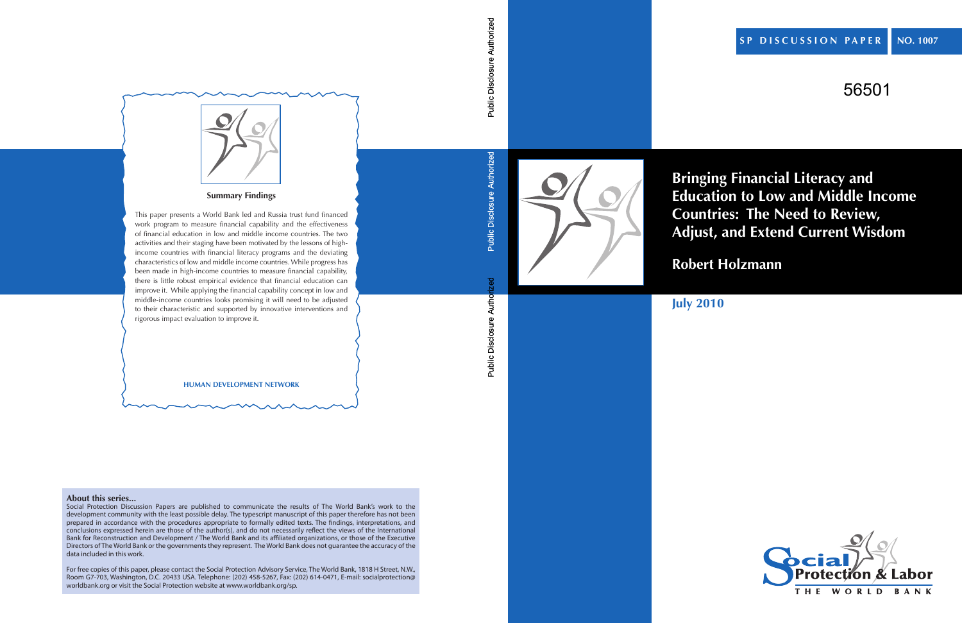# 56501



**Bringing Financial Literacy and Education to Low and Middle Income Countries: The Need to Review, Adjust, and Extend Current Wisdom**

**Robert Holzmann**

# **July 2010**

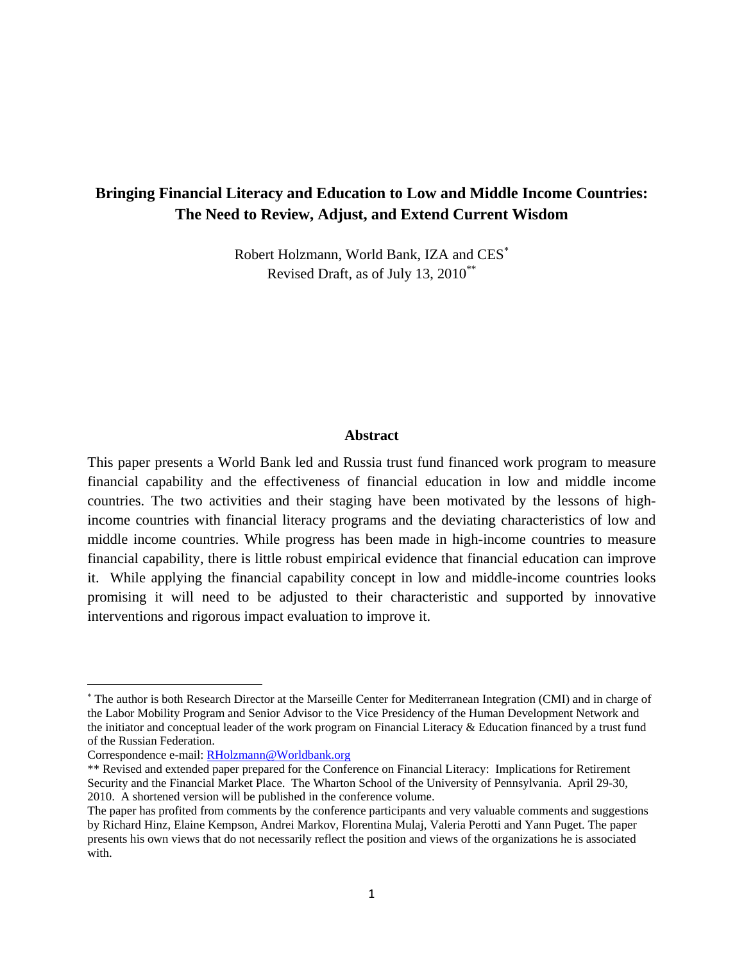### **Bringing Financial Literacy and Education to Low and Middle Income Countries: The Need to Review, Adjust, and Extend Current Wisdom**

Robert Holzmann, World Bank, IZA and CES Revised Draft, as of July 13, 2010\*\*

#### **Abstract**

This paper presents a World Bank led and Russia trust fund financed work program to measure financial capability and the effectiveness of financial education in low and middle income countries. The two activities and their staging have been motivated by the lessons of highincome countries with financial literacy programs and the deviating characteristics of low and middle income countries. While progress has been made in high-income countries to measure financial capability, there is little robust empirical evidence that financial education can improve it. While applying the financial capability concept in low and middle-income countries looks promising it will need to be adjusted to their characteristic and supported by innovative interventions and rigorous impact evaluation to improve it.

 The author is both Research Director at the Marseille Center for Mediterranean Integration (CMI) and in charge of the Labor Mobility Program and Senior Advisor to the Vice Presidency of the Human Development Network and the initiator and conceptual leader of the work program on Financial Literacy & Education financed by a trust fund of the Russian Federation.

Correspondence e-mail: RHolzmann@Worldbank.org

<sup>\*\*</sup> Revised and extended paper prepared for the Conference on Financial Literacy: Implications for Retirement Security and the Financial Market Place. The Wharton School of the University of Pennsylvania. April 29-30, 2010. A shortened version will be published in the conference volume.

The paper has profited from comments by the conference participants and very valuable comments and suggestions by Richard Hinz, Elaine Kempson, Andrei Markov, Florentina Mulaj, Valeria Perotti and Yann Puget. The paper presents his own views that do not necessarily reflect the position and views of the organizations he is associated with.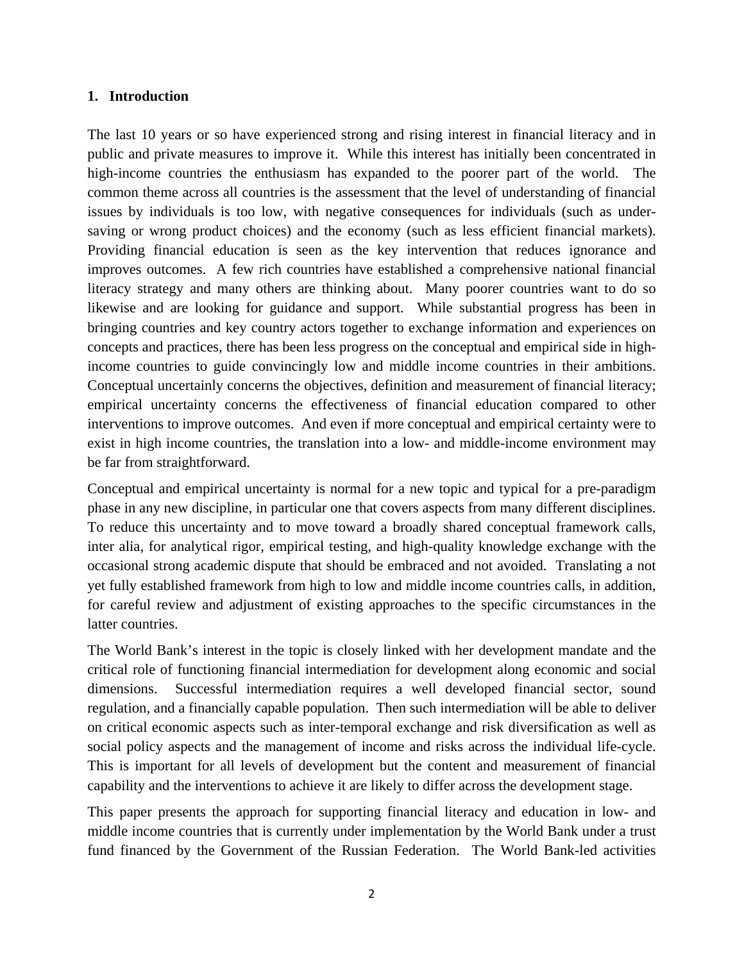#### **1. Introduction**

The last 10 years or so have experienced strong and rising interest in financial literacy and in public and private measures to improve it. While this interest has initially been concentrated in high-income countries the enthusiasm has expanded to the poorer part of the world. The common theme across all countries is the assessment that the level of understanding of financial issues by individuals is too low, with negative consequences for individuals (such as undersaving or wrong product choices) and the economy (such as less efficient financial markets). Providing financial education is seen as the key intervention that reduces ignorance and improves outcomes. A few rich countries have established a comprehensive national financial literacy strategy and many others are thinking about. Many poorer countries want to do so likewise and are looking for guidance and support. While substantial progress has been in bringing countries and key country actors together to exchange information and experiences on concepts and practices, there has been less progress on the conceptual and empirical side in highincome countries to guide convincingly low and middle income countries in their ambitions. Conceptual uncertainly concerns the objectives, definition and measurement of financial literacy; empirical uncertainty concerns the effectiveness of financial education compared to other interventions to improve outcomes. And even if more conceptual and empirical certainty were to exist in high income countries, the translation into a low- and middle-income environment may be far from straightforward.

Conceptual and empirical uncertainty is normal for a new topic and typical for a pre-paradigm phase in any new discipline, in particular one that covers aspects from many different disciplines. To reduce this uncertainty and to move toward a broadly shared conceptual framework calls, inter alia, for analytical rigor, empirical testing, and high-quality knowledge exchange with the occasional strong academic dispute that should be embraced and not avoided. Translating a not yet fully established framework from high to low and middle income countries calls, in addition, for careful review and adjustment of existing approaches to the specific circumstances in the latter countries.

The World Bank's interest in the topic is closely linked with her development mandate and the critical role of functioning financial intermediation for development along economic and social dimensions. Successful intermediation requires a well developed financial sector, sound regulation, and a financially capable population. Then such intermediation will be able to deliver on critical economic aspects such as inter-temporal exchange and risk diversification as well as social policy aspects and the management of income and risks across the individual life-cycle. This is important for all levels of development but the content and measurement of financial capability and the interventions to achieve it are likely to differ across the development stage.

This paper presents the approach for supporting financial literacy and education in low- and middle income countries that is currently under implementation by the World Bank under a trust fund financed by the Government of the Russian Federation. The World Bank-led activities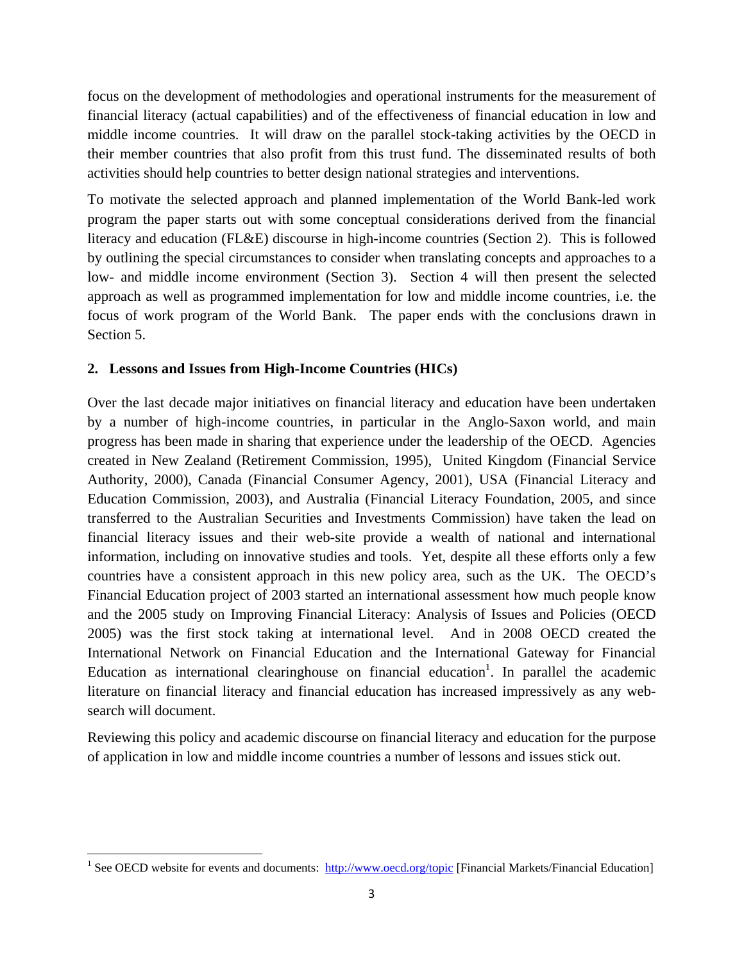focus on the development of methodologies and operational instruments for the measurement of financial literacy (actual capabilities) and of the effectiveness of financial education in low and middle income countries. It will draw on the parallel stock-taking activities by the OECD in their member countries that also profit from this trust fund. The disseminated results of both activities should help countries to better design national strategies and interventions.

To motivate the selected approach and planned implementation of the World Bank-led work program the paper starts out with some conceptual considerations derived from the financial literacy and education (FL&E) discourse in high-income countries (Section 2). This is followed by outlining the special circumstances to consider when translating concepts and approaches to a low- and middle income environment (Section 3). Section 4 will then present the selected approach as well as programmed implementation for low and middle income countries, i.e. the focus of work program of the World Bank. The paper ends with the conclusions drawn in Section 5.

### **2. Lessons and Issues from High-Income Countries (HICs)**

Over the last decade major initiatives on financial literacy and education have been undertaken by a number of high-income countries, in particular in the Anglo-Saxon world, and main progress has been made in sharing that experience under the leadership of the OECD. Agencies created in New Zealand (Retirement Commission, 1995), United Kingdom (Financial Service Authority, 2000), Canada (Financial Consumer Agency, 2001), USA (Financial Literacy and Education Commission, 2003), and Australia (Financial Literacy Foundation, 2005, and since transferred to the Australian Securities and Investments Commission) have taken the lead on financial literacy issues and their web-site provide a wealth of national and international information, including on innovative studies and tools. Yet, despite all these efforts only a few countries have a consistent approach in this new policy area, such as the UK. The OECD's Financial Education project of 2003 started an international assessment how much people know and the 2005 study on Improving Financial Literacy: Analysis of Issues and Policies (OECD 2005) was the first stock taking at international level. And in 2008 OECD created the International Network on Financial Education and the International Gateway for Financial Education as international clearinghouse on financial education<sup>1</sup>. In parallel the academic literature on financial literacy and financial education has increased impressively as any websearch will document.

Reviewing this policy and academic discourse on financial literacy and education for the purpose of application in low and middle income countries a number of lessons and issues stick out.

<sup>&</sup>lt;sup>1</sup> See OECD website for events and documents: http://www.oecd.org/topic [Financial Markets/Financial Education]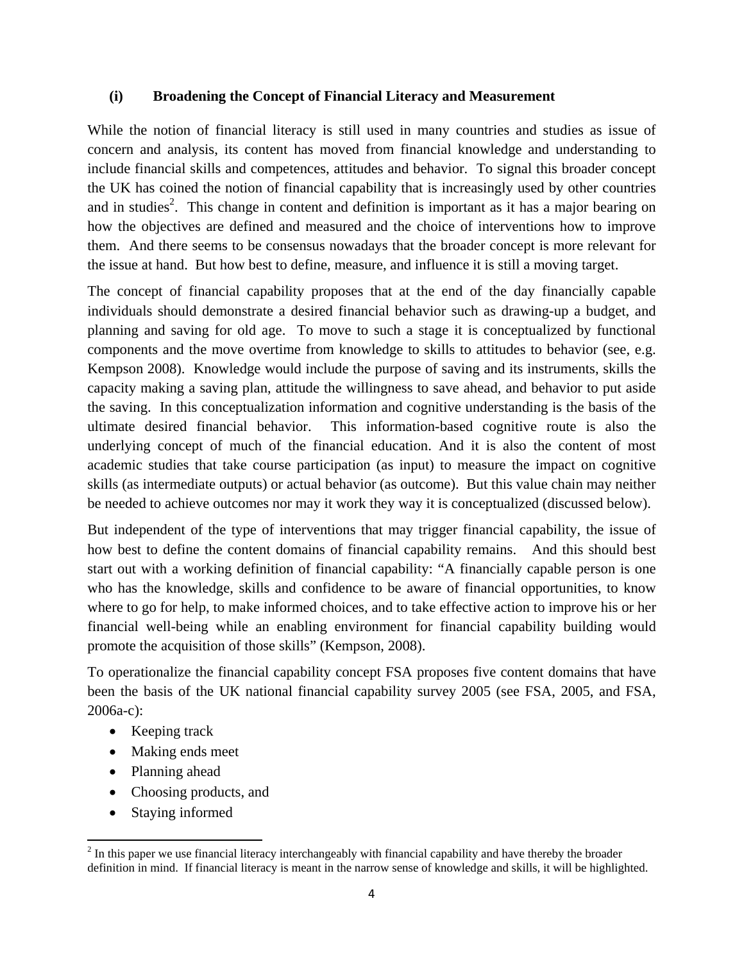### **(i) Broadening the Concept of Financial Literacy and Measurement**

While the notion of financial literacy is still used in many countries and studies as issue of concern and analysis, its content has moved from financial knowledge and understanding to include financial skills and competences, attitudes and behavior. To signal this broader concept the UK has coined the notion of financial capability that is increasingly used by other countries and in studies<sup>2</sup>. This change in content and definition is important as it has a major bearing on how the objectives are defined and measured and the choice of interventions how to improve them. And there seems to be consensus nowadays that the broader concept is more relevant for the issue at hand. But how best to define, measure, and influence it is still a moving target.

The concept of financial capability proposes that at the end of the day financially capable individuals should demonstrate a desired financial behavior such as drawing-up a budget, and planning and saving for old age. To move to such a stage it is conceptualized by functional components and the move overtime from knowledge to skills to attitudes to behavior (see, e.g. Kempson 2008). Knowledge would include the purpose of saving and its instruments, skills the capacity making a saving plan, attitude the willingness to save ahead, and behavior to put aside the saving. In this conceptualization information and cognitive understanding is the basis of the ultimate desired financial behavior. This information-based cognitive route is also the underlying concept of much of the financial education. And it is also the content of most academic studies that take course participation (as input) to measure the impact on cognitive skills (as intermediate outputs) or actual behavior (as outcome). But this value chain may neither be needed to achieve outcomes nor may it work they way it is conceptualized (discussed below).

But independent of the type of interventions that may trigger financial capability, the issue of how best to define the content domains of financial capability remains. And this should best start out with a working definition of financial capability: "A financially capable person is one who has the knowledge, skills and confidence to be aware of financial opportunities, to know where to go for help, to make informed choices, and to take effective action to improve his or her financial well-being while an enabling environment for financial capability building would promote the acquisition of those skills" (Kempson, 2008).

To operationalize the financial capability concept FSA proposes five content domains that have been the basis of the UK national financial capability survey 2005 (see FSA, 2005, and FSA, 2006a-c):

- Keeping track
- Making ends meet
- Planning ahead
- Choosing products, and
- Staying informed

 $2<sup>2</sup>$  In this paper we use financial literacy interchangeably with financial capability and have thereby the broader definition in mind. If financial literacy is meant in the narrow sense of knowledge and skills, it will be highlighted.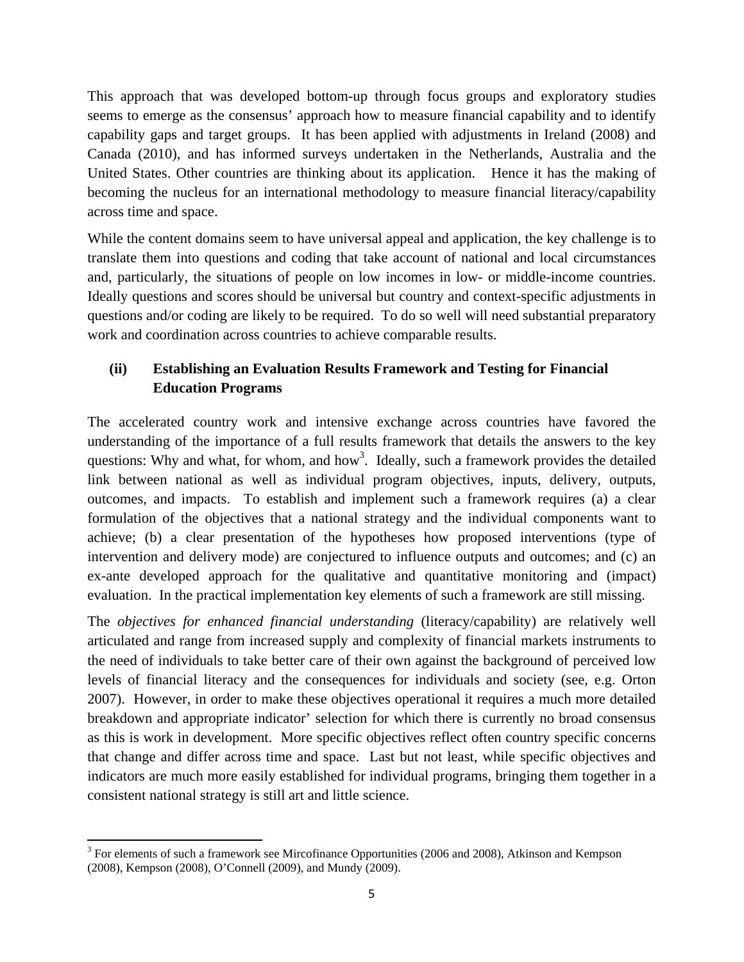This approach that was developed bottom-up through focus groups and exploratory studies seems to emerge as the consensus' approach how to measure financial capability and to identify capability gaps and target groups. It has been applied with adjustments in Ireland (2008) and Canada (2010), and has informed surveys undertaken in the Netherlands, Australia and the United States. Other countries are thinking about its application. Hence it has the making of becoming the nucleus for an international methodology to measure financial literacy/capability across time and space.

While the content domains seem to have universal appeal and application, the key challenge is to translate them into questions and coding that take account of national and local circumstances and, particularly, the situations of people on low incomes in low- or middle-income countries. Ideally questions and scores should be universal but country and context-specific adjustments in questions and/or coding are likely to be required. To do so well will need substantial preparatory work and coordination across countries to achieve comparable results.

### **(ii) Establishing an Evaluation Results Framework and Testing for Financial Education Programs**

The accelerated country work and intensive exchange across countries have favored the understanding of the importance of a full results framework that details the answers to the key questions: Why and what, for whom, and how<sup>3</sup>. Ideally, such a framework provides the detailed link between national as well as individual program objectives, inputs, delivery, outputs, outcomes, and impacts. To establish and implement such a framework requires (a) a clear formulation of the objectives that a national strategy and the individual components want to achieve; (b) a clear presentation of the hypotheses how proposed interventions (type of intervention and delivery mode) are conjectured to influence outputs and outcomes; and (c) an ex-ante developed approach for the qualitative and quantitative monitoring and (impact) evaluation. In the practical implementation key elements of such a framework are still missing.

The *objectives for enhanced financial understanding* (literacy/capability) are relatively well articulated and range from increased supply and complexity of financial markets instruments to the need of individuals to take better care of their own against the background of perceived low levels of financial literacy and the consequences for individuals and society (see, e.g. Orton 2007). However, in order to make these objectives operational it requires a much more detailed breakdown and appropriate indicator' selection for which there is currently no broad consensus as this is work in development. More specific objectives reflect often country specific concerns that change and differ across time and space. Last but not least, while specific objectives and indicators are much more easily established for individual programs, bringing them together in a consistent national strategy is still art and little science.

<sup>&</sup>lt;sup>3</sup> For elements of such a framework see Mircofinance Opportunities (2006 and 2008), Atkinson and Kempson (2008), Kempson (2008), O'Connell (2009), and Mundy (2009).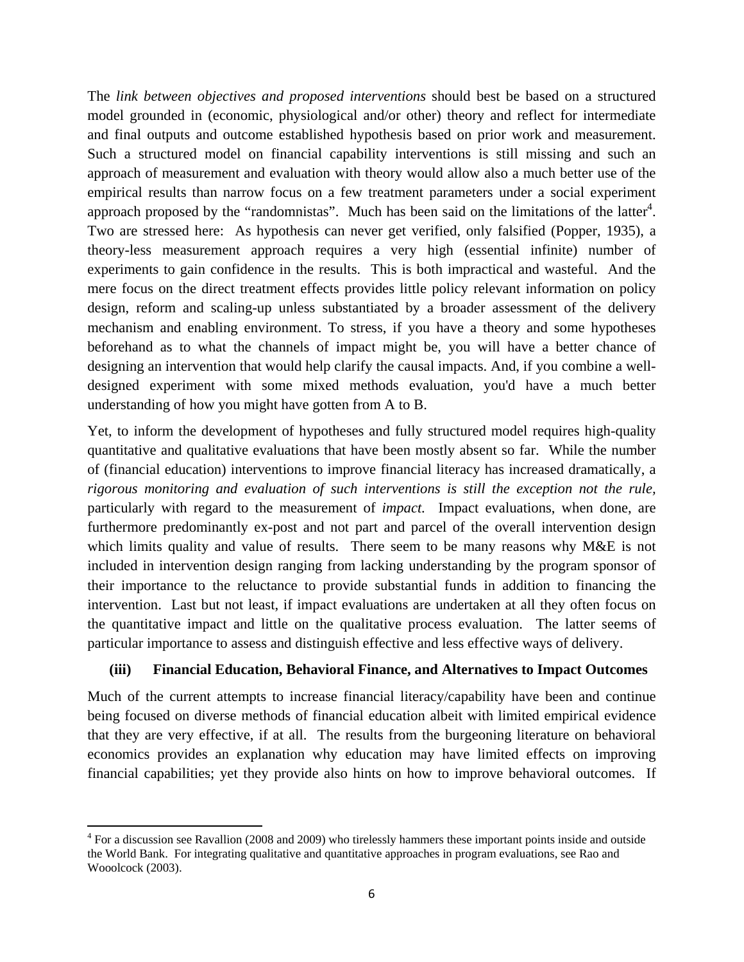The *link between objectives and proposed interventions* should best be based on a structured model grounded in (economic, physiological and/or other) theory and reflect for intermediate and final outputs and outcome established hypothesis based on prior work and measurement. Such a structured model on financial capability interventions is still missing and such an approach of measurement and evaluation with theory would allow also a much better use of the empirical results than narrow focus on a few treatment parameters under a social experiment approach proposed by the "randomnistas". Much has been said on the limitations of the latter<sup>4</sup>. Two are stressed here: As hypothesis can never get verified, only falsified (Popper, 1935), a theory-less measurement approach requires a very high (essential infinite) number of experiments to gain confidence in the results. This is both impractical and wasteful. And the mere focus on the direct treatment effects provides little policy relevant information on policy design, reform and scaling-up unless substantiated by a broader assessment of the delivery mechanism and enabling environment. To stress, if you have a theory and some hypotheses beforehand as to what the channels of impact might be, you will have a better chance of designing an intervention that would help clarify the causal impacts. And, if you combine a welldesigned experiment with some mixed methods evaluation, you'd have a much better understanding of how you might have gotten from A to B.

Yet, to inform the development of hypotheses and fully structured model requires high-quality quantitative and qualitative evaluations that have been mostly absent so far. While the number of (financial education) interventions to improve financial literacy has increased dramatically, a *rigorous monitoring and evaluation of such interventions is still the exception not the rule,*  particularly with regard to the measurement of *impact.* Impact evaluations, when done, are furthermore predominantly ex-post and not part and parcel of the overall intervention design which limits quality and value of results. There seem to be many reasons why M&E is not included in intervention design ranging from lacking understanding by the program sponsor of their importance to the reluctance to provide substantial funds in addition to financing the intervention. Last but not least, if impact evaluations are undertaken at all they often focus on the quantitative impact and little on the qualitative process evaluation. The latter seems of particular importance to assess and distinguish effective and less effective ways of delivery.

### **(iii) Financial Education, Behavioral Finance, and Alternatives to Impact Outcomes**

Much of the current attempts to increase financial literacy/capability have been and continue being focused on diverse methods of financial education albeit with limited empirical evidence that they are very effective, if at all. The results from the burgeoning literature on behavioral economics provides an explanation why education may have limited effects on improving financial capabilities; yet they provide also hints on how to improve behavioral outcomes. If

<sup>&</sup>lt;sup>4</sup> For a discussion see Ravallion (2008 and 2009) who tirelessly hammers these important points inside and outside the World Bank. For integrating qualitative and quantitative approaches in program evaluations, see Rao and Wooolcock (2003).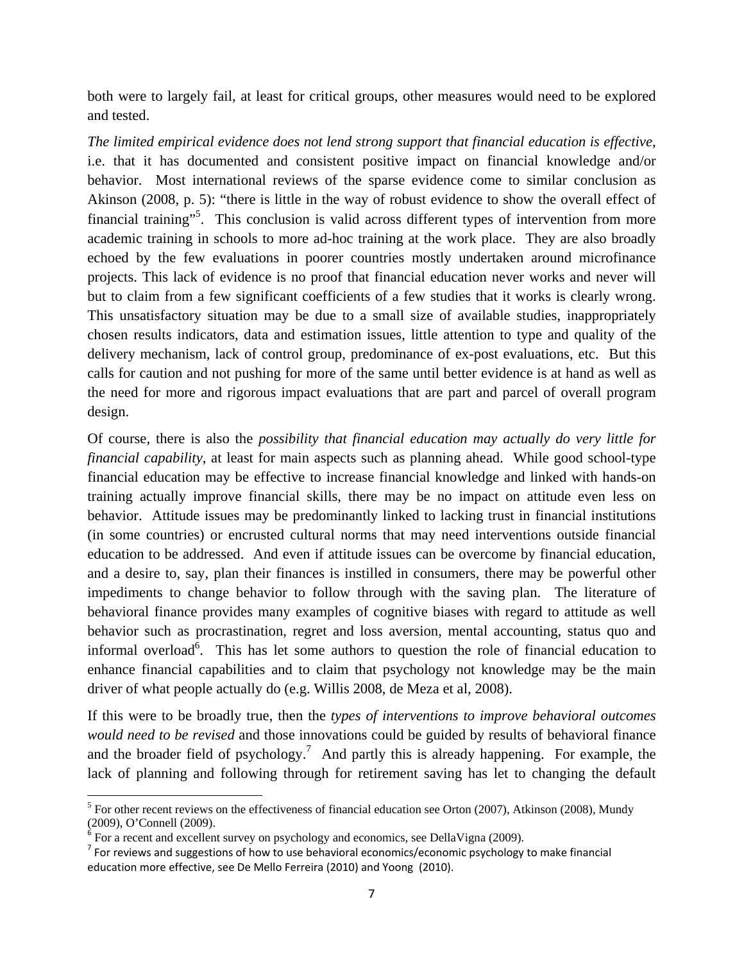both were to largely fail, at least for critical groups, other measures would need to be explored and tested.

*The limited empirical evidence does not lend strong support that financial education is effective*, i.e. that it has documented and consistent positive impact on financial knowledge and/or behavior. Most international reviews of the sparse evidence come to similar conclusion as Akinson (2008, p. 5): "there is little in the way of robust evidence to show the overall effect of financial training"<sup>5</sup>. This conclusion is valid across different types of intervention from more academic training in schools to more ad-hoc training at the work place. They are also broadly echoed by the few evaluations in poorer countries mostly undertaken around microfinance projects. This lack of evidence is no proof that financial education never works and never will but to claim from a few significant coefficients of a few studies that it works is clearly wrong. This unsatisfactory situation may be due to a small size of available studies, inappropriately chosen results indicators, data and estimation issues, little attention to type and quality of the delivery mechanism, lack of control group, predominance of ex-post evaluations, etc. But this calls for caution and not pushing for more of the same until better evidence is at hand as well as the need for more and rigorous impact evaluations that are part and parcel of overall program design.

Of course, there is also the *possibility that financial education may actually do very little for financial capability*, at least for main aspects such as planning ahead. While good school-type financial education may be effective to increase financial knowledge and linked with hands-on training actually improve financial skills, there may be no impact on attitude even less on behavior. Attitude issues may be predominantly linked to lacking trust in financial institutions (in some countries) or encrusted cultural norms that may need interventions outside financial education to be addressed. And even if attitude issues can be overcome by financial education, and a desire to, say, plan their finances is instilled in consumers, there may be powerful other impediments to change behavior to follow through with the saving plan. The literature of behavioral finance provides many examples of cognitive biases with regard to attitude as well behavior such as procrastination, regret and loss aversion, mental accounting, status quo and informal overload<sup>6</sup>. This has let some authors to question the role of financial education to enhance financial capabilities and to claim that psychology not knowledge may be the main driver of what people actually do (e.g. Willis 2008, de Meza et al, 2008).

If this were to be broadly true, then the *types of interventions to improve behavioral outcomes would need to be revised* and those innovations could be guided by results of behavioral finance and the broader field of psychology.<sup>7</sup> And partly this is already happening. For example, the lack of planning and following through for retirement saving has let to changing the default

 $<sup>5</sup>$  For other recent reviews on the effectiveness of financial education see Orton (2007), Atkinson (2008), Mundy</sup> (2009), O'Connell (2009).

 $6$  For a recent and excellent survey on psychology and economics, see DellaVigna (2009).

 $<sup>7</sup>$  For reviews and suggestions of how to use behavioral economics/economic psychology to make financial</sup> education more effective, see De Mello Ferreira (2010) and Yoong (2010).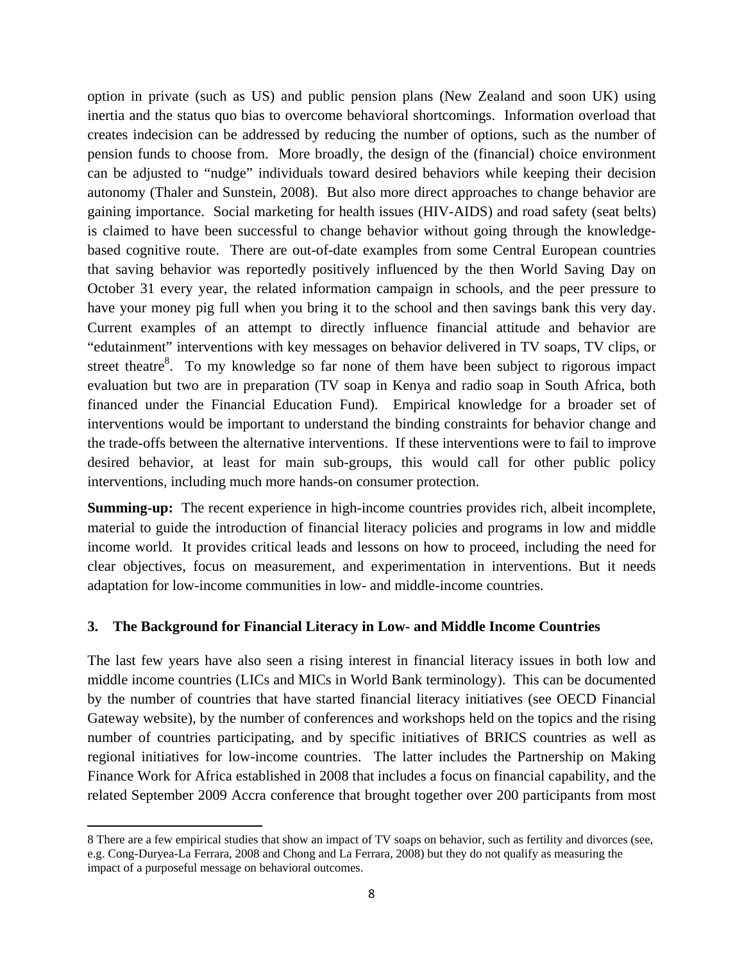option in private (such as US) and public pension plans (New Zealand and soon UK) using inertia and the status quo bias to overcome behavioral shortcomings. Information overload that creates indecision can be addressed by reducing the number of options, such as the number of pension funds to choose from. More broadly, the design of the (financial) choice environment can be adjusted to "nudge" individuals toward desired behaviors while keeping their decision autonomy (Thaler and Sunstein, 2008). But also more direct approaches to change behavior are gaining importance. Social marketing for health issues (HIV-AIDS) and road safety (seat belts) is claimed to have been successful to change behavior without going through the knowledgebased cognitive route. There are out-of-date examples from some Central European countries that saving behavior was reportedly positively influenced by the then World Saving Day on October 31 every year, the related information campaign in schools, and the peer pressure to have your money pig full when you bring it to the school and then savings bank this very day. Current examples of an attempt to directly influence financial attitude and behavior are "edutainment" interventions with key messages on behavior delivered in TV soaps, TV clips, or street theatre $8$ . To my knowledge so far none of them have been subject to rigorous impact evaluation but two are in preparation (TV soap in Kenya and radio soap in South Africa, both financed under the Financial Education Fund). Empirical knowledge for a broader set of interventions would be important to understand the binding constraints for behavior change and the trade-offs between the alternative interventions. If these interventions were to fail to improve desired behavior, at least for main sub-groups, this would call for other public policy interventions, including much more hands-on consumer protection.

**Summing-up:** The recent experience in high-income countries provides rich, albeit incomplete, material to guide the introduction of financial literacy policies and programs in low and middle income world. It provides critical leads and lessons on how to proceed, including the need for clear objectives, focus on measurement, and experimentation in interventions. But it needs adaptation for low-income communities in low- and middle-income countries.

### **3. The Background for Financial Literacy in Low- and Middle Income Countries**

The last few years have also seen a rising interest in financial literacy issues in both low and middle income countries (LICs and MICs in World Bank terminology). This can be documented by the number of countries that have started financial literacy initiatives (see OECD Financial Gateway website), by the number of conferences and workshops held on the topics and the rising number of countries participating, and by specific initiatives of BRICS countries as well as regional initiatives for low-income countries. The latter includes the Partnership on Making Finance Work for Africa established in 2008 that includes a focus on financial capability, and the related September 2009 Accra conference that brought together over 200 participants from most

<sup>8</sup> There are a few empirical studies that show an impact of TV soaps on behavior, such as fertility and divorces (see, e.g. Cong-Duryea-La Ferrara, 2008 and Chong and La Ferrara, 2008) but they do not qualify as measuring the impact of a purposeful message on behavioral outcomes.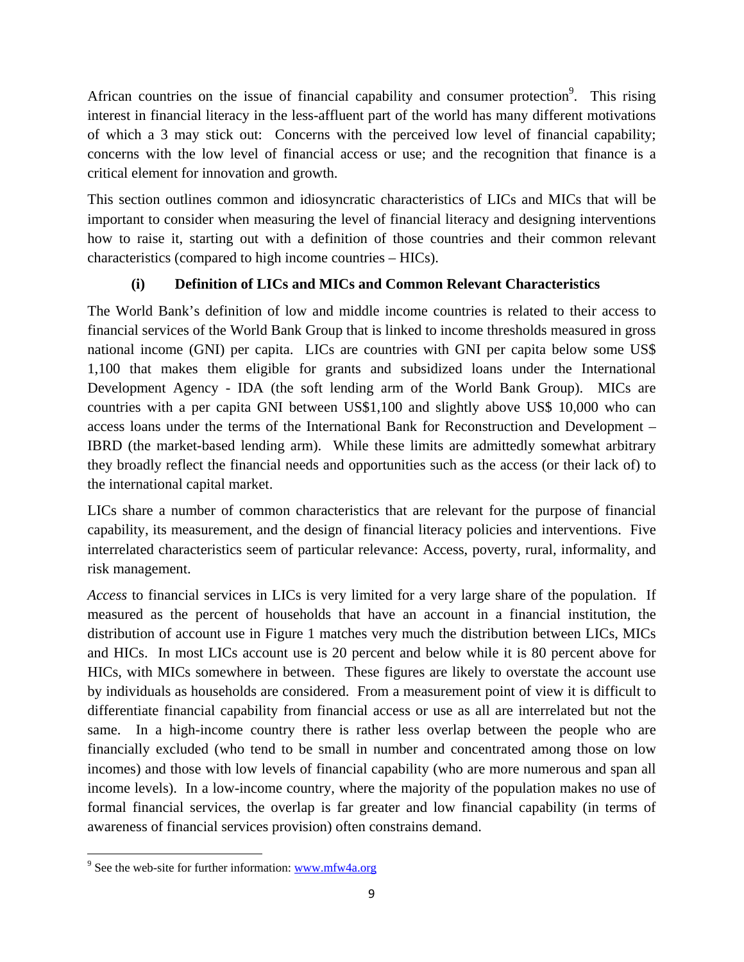African countries on the issue of financial capability and consumer protection<sup>9</sup>. This rising interest in financial literacy in the less-affluent part of the world has many different motivations of which a 3 may stick out: Concerns with the perceived low level of financial capability; concerns with the low level of financial access or use; and the recognition that finance is a critical element for innovation and growth.

This section outlines common and idiosyncratic characteristics of LICs and MICs that will be important to consider when measuring the level of financial literacy and designing interventions how to raise it, starting out with a definition of those countries and their common relevant characteristics (compared to high income countries – HICs).

## **(i) Definition of LICs and MICs and Common Relevant Characteristics**

The World Bank's definition of low and middle income countries is related to their access to financial services of the World Bank Group that is linked to income thresholds measured in gross national income (GNI) per capita. LICs are countries with GNI per capita below some US\$ 1,100 that makes them eligible for grants and subsidized loans under the International Development Agency - IDA (the soft lending arm of the World Bank Group). MICs are countries with a per capita GNI between US\$1,100 and slightly above US\$ 10,000 who can access loans under the terms of the International Bank for Reconstruction and Development – IBRD (the market-based lending arm). While these limits are admittedly somewhat arbitrary they broadly reflect the financial needs and opportunities such as the access (or their lack of) to the international capital market.

LICs share a number of common characteristics that are relevant for the purpose of financial capability, its measurement, and the design of financial literacy policies and interventions. Five interrelated characteristics seem of particular relevance: Access, poverty, rural, informality, and risk management.

*Access* to financial services in LICs is very limited for a very large share of the population. If measured as the percent of households that have an account in a financial institution, the distribution of account use in Figure 1 matches very much the distribution between LICs, MICs and HICs. In most LICs account use is 20 percent and below while it is 80 percent above for HICs, with MICs somewhere in between. These figures are likely to overstate the account use by individuals as households are considered. From a measurement point of view it is difficult to differentiate financial capability from financial access or use as all are interrelated but not the same. In a high-income country there is rather less overlap between the people who are financially excluded (who tend to be small in number and concentrated among those on low incomes) and those with low levels of financial capability (who are more numerous and span all income levels). In a low-income country, where the majority of the population makes no use of formal financial services, the overlap is far greater and low financial capability (in terms of awareness of financial services provision) often constrains demand.

 <sup>9</sup> See the web-site for further information: www.mfw4a.org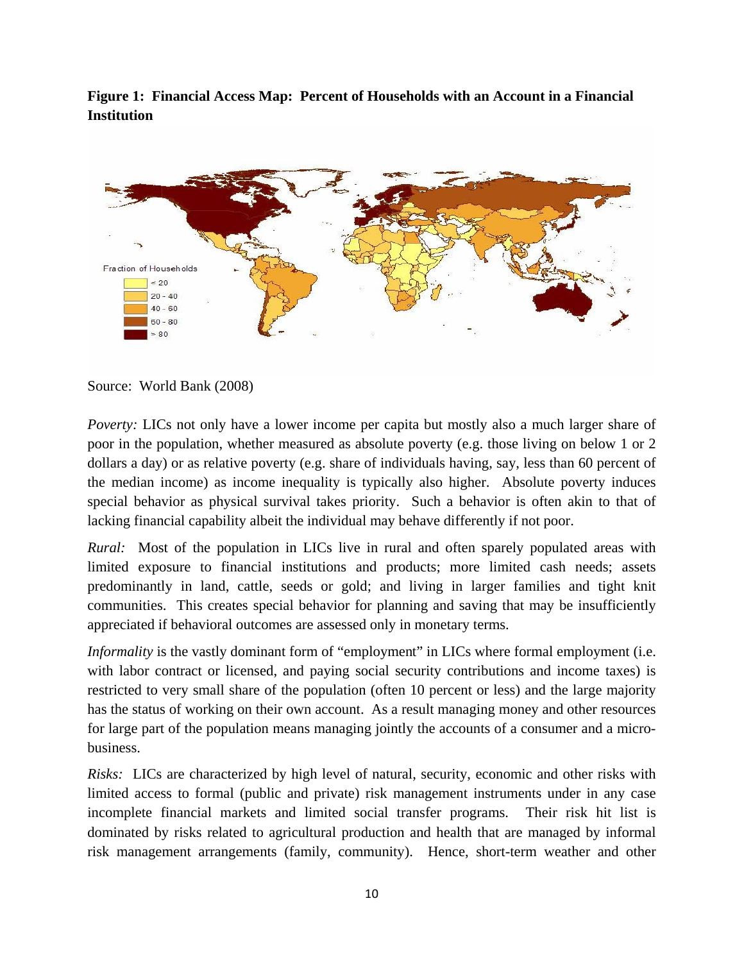**Figure 1: Financial Access Map: Percent of Households with an Account in a Financial Institution** 



Source: World Bank (2008)

*Poverty:* LICs not only have a lower income per capita but mostly also a much larger share of poor in the population, whether measured as absolute poverty (e.g. those living on below 1 or 2 dollars a day) or as relative poverty (e.g. share of individuals having, say, less than 60 percent of the median income) as income inequality is typically also higher. Absolute poverty induces special behavior as physical survival takes priority. Such a behavior is often akin to that of lacking financial capability albeit the individual may behave differently if not poor.

*Rural:* Most of the population in LICs live in rural and often sparely populated areas with limited exposure to financial institutions and products; more limited cash needs; assets predominantly in land, cattle, seeds or gold; and living in larger families and tight knit communities. This creates special behavior for planning and saving that may be insufficiently appreciated if behavioral outcomes are assessed only in monetary terms.

*Informality* is the vastly dominant form of "employment" in LICs where formal employment (i.e. with labor contract or licensed, and paying social security contributions and income taxes) is restricted to very small share of the population (often 10 percent or less) and the large majority has the status of working on their own account. As a result managing money and other resources for large part of the population means managing jointly the accounts of a consumer and a microbusiness.

*Risks:* LICs are characterized by high level of natural, security, economic and other risks with limited access to formal (public and private) risk management instruments under in any case incomplete financial markets and limited social transfer programs. Their risk hit list is dominated by risks related to agricultural production and health that are managed by informal risk management arrangements (family, community). Hence, short-term weather and other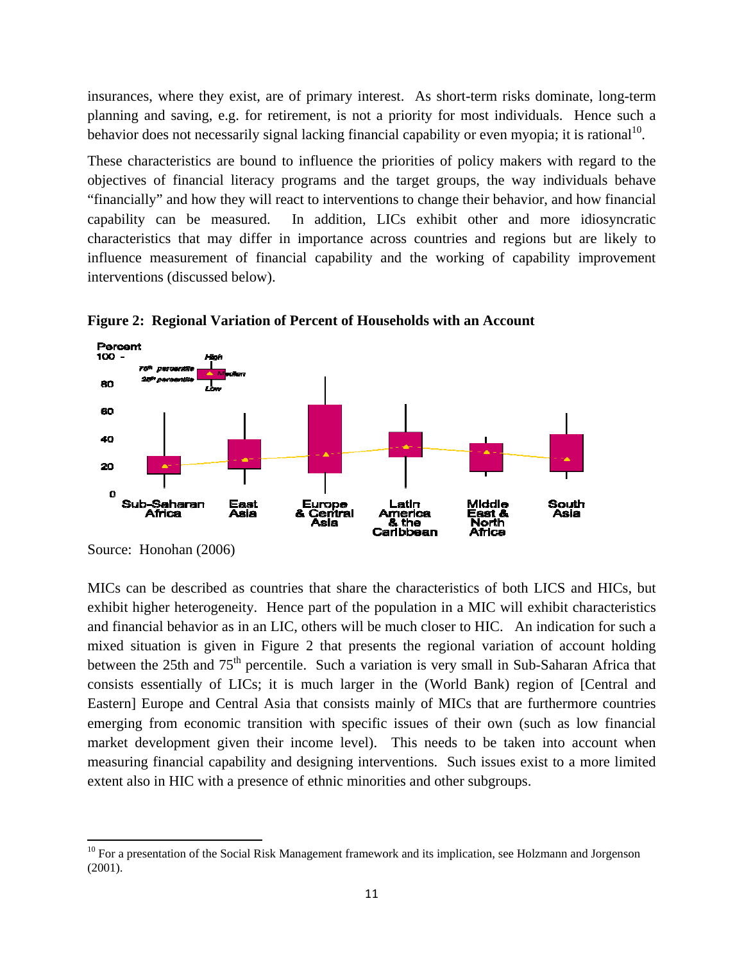insurances, where they exist, are of primary interest. As short-term risks dominate, long-term planning and saving, e.g. for retirement, is not a priority for most individuals. Hence such a behavior does not necessarily signal lacking financial capability or even myopia; it is rational<sup>10</sup>.

These characteristics are bound to influence the priorities of policy makers with regard to the objectives of financial literacy programs and the target groups, the way individuals behave "financially" and how they will react to interventions to change their behavior, and how financial capability can be measured. In addition, LICs exhibit other and more idiosyncratic characteristics that may differ in importance across countries and regions but are likely to influence measurement of financial capability and the working of capability improvement interventions (discussed below).



**Figure 2: Regional Variation of Percent of Households with an Account** 

MICs can be described as countries that share the characteristics of both LICS and HICs, but exhibit higher heterogeneity. Hence part of the population in a MIC will exhibit characteristics and financial behavior as in an LIC, others will be much closer to HIC. An indication for such a mixed situation is given in Figure 2 that presents the regional variation of account holding between the 25th and 75<sup>th</sup> percentile. Such a variation is very small in Sub-Saharan Africa that consists essentially of LICs; it is much larger in the (World Bank) region of [Central and Eastern] Europe and Central Asia that consists mainly of MICs that are furthermore countries emerging from economic transition with specific issues of their own (such as low financial market development given their income level). This needs to be taken into account when measuring financial capability and designing interventions. Such issues exist to a more limited extent also in HIC with a presence of ethnic minorities and other subgroups.

Source: Honohan (2006)

<sup>&</sup>lt;sup>10</sup> For a presentation of the Social Risk Management framework and its implication, see Holzmann and Jorgenson (2001).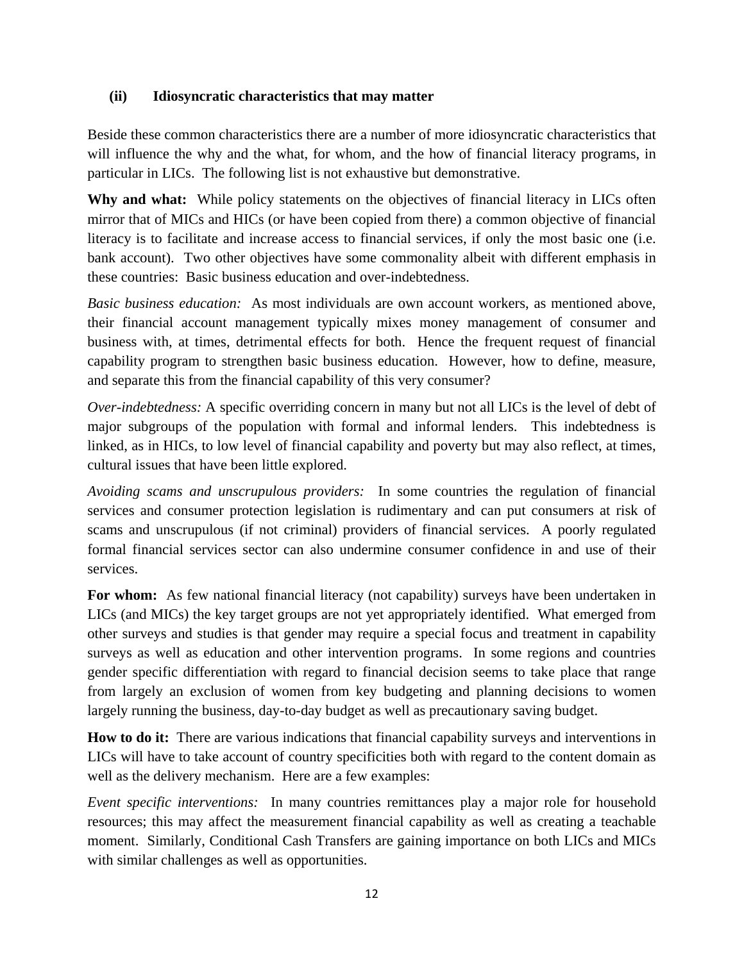### **(ii) Idiosyncratic characteristics that may matter**

Beside these common characteristics there are a number of more idiosyncratic characteristics that will influence the why and the what, for whom, and the how of financial literacy programs, in particular in LICs. The following list is not exhaustive but demonstrative.

Why and what: While policy statements on the objectives of financial literacy in LICs often mirror that of MICs and HICs (or have been copied from there) a common objective of financial literacy is to facilitate and increase access to financial services, if only the most basic one (i.e. bank account). Two other objectives have some commonality albeit with different emphasis in these countries: Basic business education and over-indebtedness.

*Basic business education:* As most individuals are own account workers, as mentioned above, their financial account management typically mixes money management of consumer and business with, at times, detrimental effects for both. Hence the frequent request of financial capability program to strengthen basic business education. However, how to define, measure, and separate this from the financial capability of this very consumer?

*Over-indebtedness:* A specific overriding concern in many but not all LICs is the level of debt of major subgroups of the population with formal and informal lenders. This indebtedness is linked, as in HICs, to low level of financial capability and poverty but may also reflect, at times, cultural issues that have been little explored.

*Avoiding scams and unscrupulous providers:* In some countries the regulation of financial services and consumer protection legislation is rudimentary and can put consumers at risk of scams and unscrupulous (if not criminal) providers of financial services. A poorly regulated formal financial services sector can also undermine consumer confidence in and use of their services.

**For whom:** As few national financial literacy (not capability) surveys have been undertaken in LICs (and MICs) the key target groups are not yet appropriately identified. What emerged from other surveys and studies is that gender may require a special focus and treatment in capability surveys as well as education and other intervention programs. In some regions and countries gender specific differentiation with regard to financial decision seems to take place that range from largely an exclusion of women from key budgeting and planning decisions to women largely running the business, day-to-day budget as well as precautionary saving budget.

**How to do it:** There are various indications that financial capability surveys and interventions in LICs will have to take account of country specificities both with regard to the content domain as well as the delivery mechanism. Here are a few examples:

*Event specific interventions:* In many countries remittances play a major role for household resources; this may affect the measurement financial capability as well as creating a teachable moment. Similarly, Conditional Cash Transfers are gaining importance on both LICs and MICs with similar challenges as well as opportunities.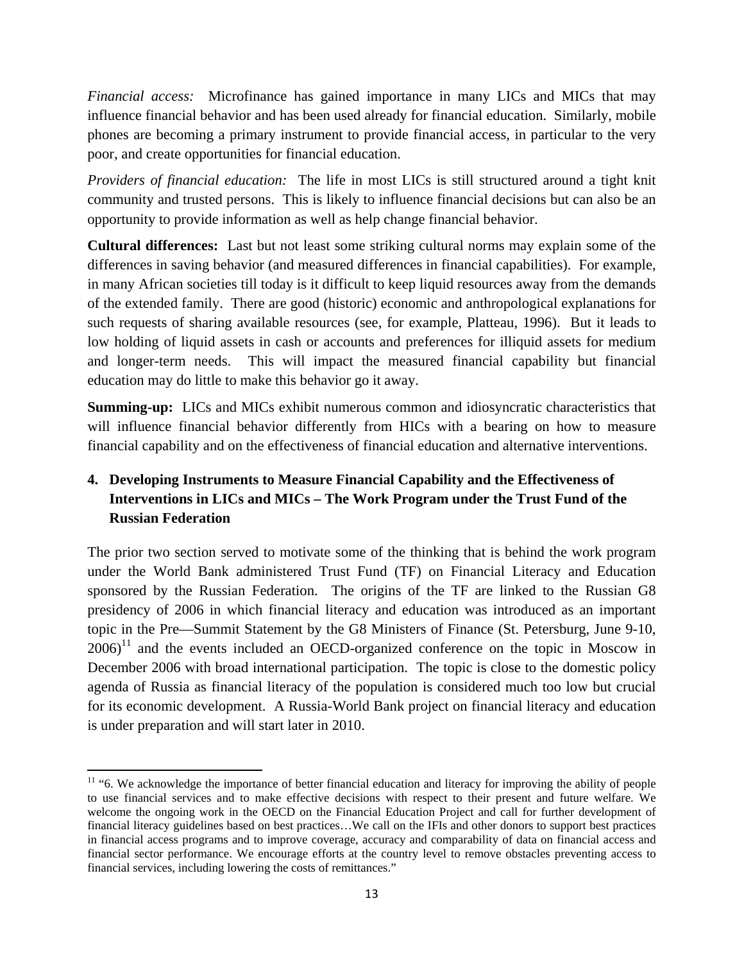*Financial access:* Microfinance has gained importance in many LICs and MICs that may influence financial behavior and has been used already for financial education. Similarly, mobile phones are becoming a primary instrument to provide financial access, in particular to the very poor, and create opportunities for financial education.

*Providers of financial education:* The life in most LICs is still structured around a tight knit community and trusted persons. This is likely to influence financial decisions but can also be an opportunity to provide information as well as help change financial behavior.

**Cultural differences:** Last but not least some striking cultural norms may explain some of the differences in saving behavior (and measured differences in financial capabilities). For example, in many African societies till today is it difficult to keep liquid resources away from the demands of the extended family. There are good (historic) economic and anthropological explanations for such requests of sharing available resources (see, for example, Platteau, 1996). But it leads to low holding of liquid assets in cash or accounts and preferences for illiquid assets for medium and longer-term needs. This will impact the measured financial capability but financial education may do little to make this behavior go it away.

**Summing-up:** LICs and MICs exhibit numerous common and idiosyncratic characteristics that will influence financial behavior differently from HICs with a bearing on how to measure financial capability and on the effectiveness of financial education and alternative interventions.

## **4. Developing Instruments to Measure Financial Capability and the Effectiveness of Interventions in LICs and MICs – The Work Program under the Trust Fund of the Russian Federation**

The prior two section served to motivate some of the thinking that is behind the work program under the World Bank administered Trust Fund (TF) on Financial Literacy and Education sponsored by the Russian Federation. The origins of the TF are linked to the Russian G8 presidency of 2006 in which financial literacy and education was introduced as an important topic in the Pre—Summit Statement by the G8 Ministers of Finance (St. Petersburg, June 9-10,  $2006$ <sup>11</sup> and the events included an OECD-organized conference on the topic in Moscow in December 2006 with broad international participation. The topic is close to the domestic policy agenda of Russia as financial literacy of the population is considered much too low but crucial for its economic development. A Russia-World Bank project on financial literacy and education is under preparation and will start later in 2010.

  $11$  "6. We acknowledge the importance of better financial education and literacy for improving the ability of people to use financial services and to make effective decisions with respect to their present and future welfare. We welcome the ongoing work in the OECD on the Financial Education Project and call for further development of financial literacy guidelines based on best practices…We call on the IFIs and other donors to support best practices in financial access programs and to improve coverage, accuracy and comparability of data on financial access and financial sector performance. We encourage efforts at the country level to remove obstacles preventing access to financial services, including lowering the costs of remittances."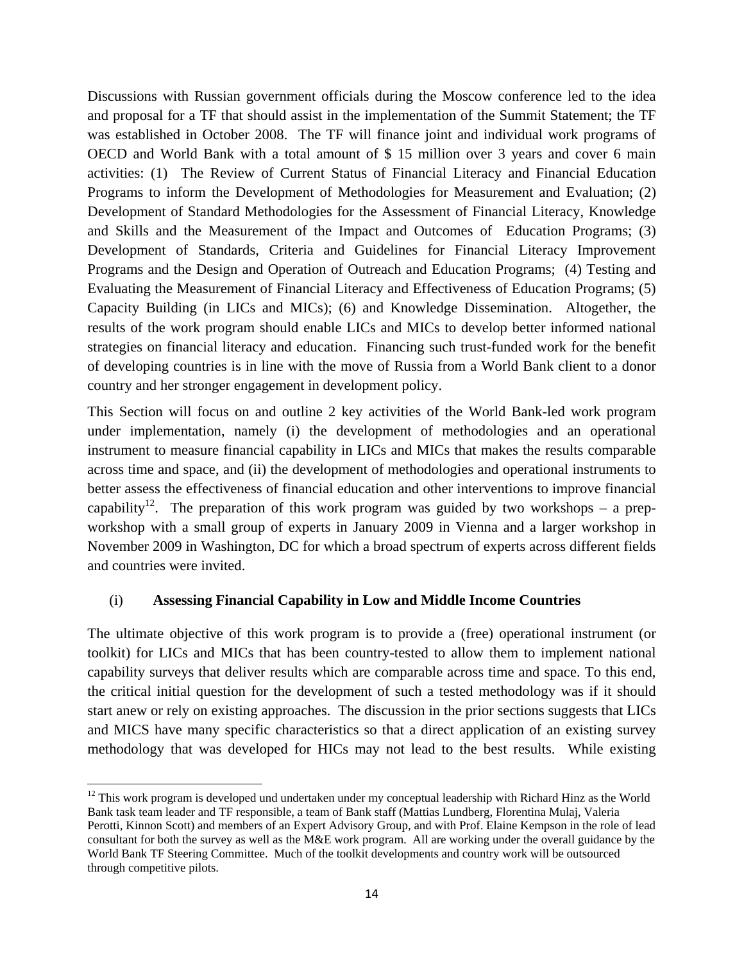Discussions with Russian government officials during the Moscow conference led to the idea and proposal for a TF that should assist in the implementation of the Summit Statement; the TF was established in October 2008. The TF will finance joint and individual work programs of OECD and World Bank with a total amount of \$ 15 million over 3 years and cover 6 main activities: (1) The Review of Current Status of Financial Literacy and Financial Education Programs to inform the Development of Methodologies for Measurement and Evaluation; (2) Development of Standard Methodologies for the Assessment of Financial Literacy, Knowledge and Skills and the Measurement of the Impact and Outcomes of Education Programs; (3) Development of Standards, Criteria and Guidelines for Financial Literacy Improvement Programs and the Design and Operation of Outreach and Education Programs; (4) Testing and Evaluating the Measurement of Financial Literacy and Effectiveness of Education Programs; (5) Capacity Building (in LICs and MICs); (6) and Knowledge Dissemination. Altogether, the results of the work program should enable LICs and MICs to develop better informed national strategies on financial literacy and education. Financing such trust-funded work for the benefit of developing countries is in line with the move of Russia from a World Bank client to a donor country and her stronger engagement in development policy.

This Section will focus on and outline 2 key activities of the World Bank-led work program under implementation, namely (i) the development of methodologies and an operational instrument to measure financial capability in LICs and MICs that makes the results comparable across time and space, and (ii) the development of methodologies and operational instruments to better assess the effectiveness of financial education and other interventions to improve financial capability<sup>12</sup>. The preparation of this work program was guided by two workshops – a prepworkshop with a small group of experts in January 2009 in Vienna and a larger workshop in November 2009 in Washington, DC for which a broad spectrum of experts across different fields and countries were invited.

### (i) **Assessing Financial Capability in Low and Middle Income Countries**

The ultimate objective of this work program is to provide a (free) operational instrument (or toolkit) for LICs and MICs that has been country-tested to allow them to implement national capability surveys that deliver results which are comparable across time and space. To this end, the critical initial question for the development of such a tested methodology was if it should start anew or rely on existing approaches. The discussion in the prior sections suggests that LICs and MICS have many specific characteristics so that a direct application of an existing survey methodology that was developed for HICs may not lead to the best results. While existing

  $12$  This work program is developed und undertaken under my conceptual leadership with Richard Hinz as the World Bank task team leader and TF responsible, a team of Bank staff (Mattias Lundberg, Florentina Mulaj, Valeria Perotti, Kinnon Scott) and members of an Expert Advisory Group, and with Prof. Elaine Kempson in the role of lead consultant for both the survey as well as the M&E work program. All are working under the overall guidance by the World Bank TF Steering Committee. Much of the toolkit developments and country work will be outsourced through competitive pilots.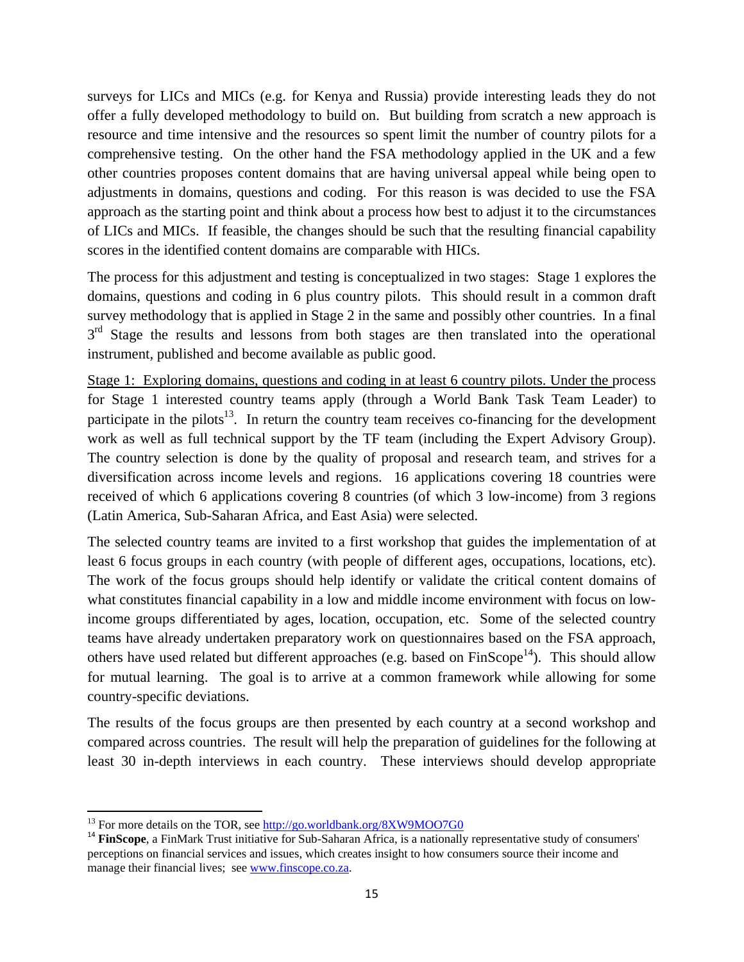surveys for LICs and MICs (e.g. for Kenya and Russia) provide interesting leads they do not offer a fully developed methodology to build on. But building from scratch a new approach is resource and time intensive and the resources so spent limit the number of country pilots for a comprehensive testing. On the other hand the FSA methodology applied in the UK and a few other countries proposes content domains that are having universal appeal while being open to adjustments in domains, questions and coding. For this reason is was decided to use the FSA approach as the starting point and think about a process how best to adjust it to the circumstances of LICs and MICs. If feasible, the changes should be such that the resulting financial capability scores in the identified content domains are comparable with HICs.

The process for this adjustment and testing is conceptualized in two stages: Stage 1 explores the domains, questions and coding in 6 plus country pilots. This should result in a common draft survey methodology that is applied in Stage 2 in the same and possibly other countries. In a final 3<sup>rd</sup> Stage the results and lessons from both stages are then translated into the operational instrument, published and become available as public good.

Stage 1: Exploring domains, questions and coding in at least 6 country pilots. Under the process for Stage 1 interested country teams apply (through a World Bank Task Team Leader) to participate in the pilots<sup>13</sup>. In return the country team receives co-financing for the development work as well as full technical support by the TF team (including the Expert Advisory Group). The country selection is done by the quality of proposal and research team, and strives for a diversification across income levels and regions. 16 applications covering 18 countries were received of which 6 applications covering 8 countries (of which 3 low-income) from 3 regions (Latin America, Sub-Saharan Africa, and East Asia) were selected.

The selected country teams are invited to a first workshop that guides the implementation of at least 6 focus groups in each country (with people of different ages, occupations, locations, etc). The work of the focus groups should help identify or validate the critical content domains of what constitutes financial capability in a low and middle income environment with focus on lowincome groups differentiated by ages, location, occupation, etc. Some of the selected country teams have already undertaken preparatory work on questionnaires based on the FSA approach, others have used related but different approaches (e.g. based on  $\text{FinScope}^{14}$ ). This should allow for mutual learning. The goal is to arrive at a common framework while allowing for some country-specific deviations.

The results of the focus groups are then presented by each country at a second workshop and compared across countries. The result will help the preparation of guidelines for the following at least 30 in-depth interviews in each country. These interviews should develop appropriate

<sup>&</sup>lt;sup>13</sup> For more details on the TOR, see http://go.worldbank.org/8XW9MOO7G0

<sup>&</sup>lt;sup>14</sup> FinScope, a FinMark Trust initiative for Sub-Saharan Africa, is a nationally representative study of consumers' perceptions on financial services and issues, which creates insight to how consumers source their income and manage their financial lives; see www.finscope.co.za.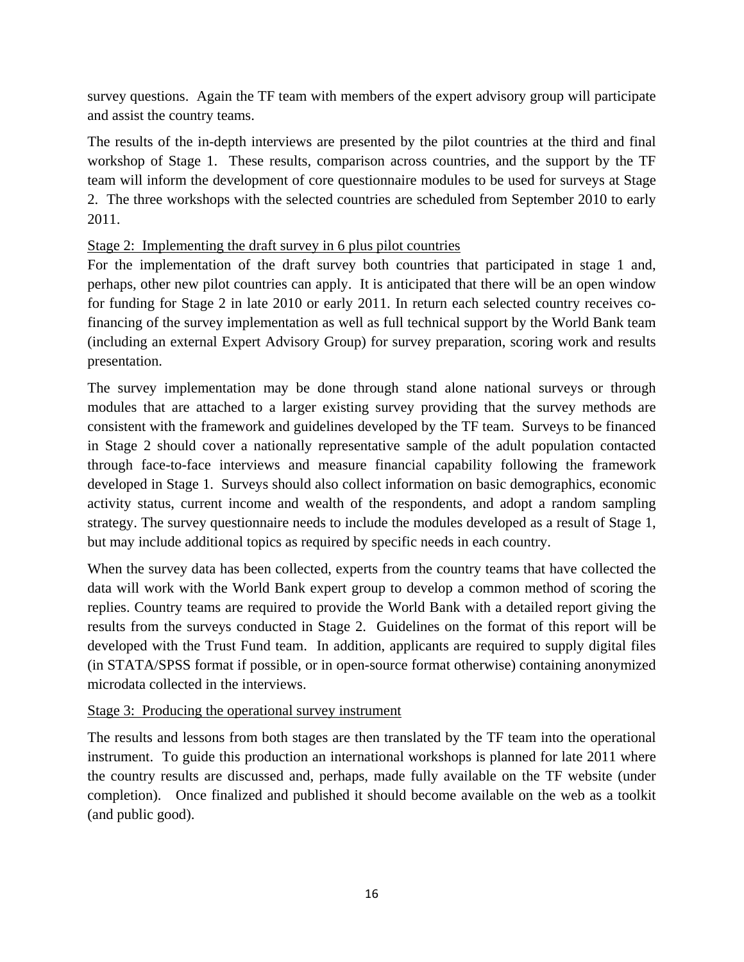survey questions. Again the TF team with members of the expert advisory group will participate and assist the country teams.

The results of the in-depth interviews are presented by the pilot countries at the third and final workshop of Stage 1. These results, comparison across countries, and the support by the TF team will inform the development of core questionnaire modules to be used for surveys at Stage 2. The three workshops with the selected countries are scheduled from September 2010 to early 2011.

### Stage 2: Implementing the draft survey in 6 plus pilot countries

For the implementation of the draft survey both countries that participated in stage 1 and, perhaps, other new pilot countries can apply. It is anticipated that there will be an open window for funding for Stage 2 in late 2010 or early 2011. In return each selected country receives cofinancing of the survey implementation as well as full technical support by the World Bank team (including an external Expert Advisory Group) for survey preparation, scoring work and results presentation.

The survey implementation may be done through stand alone national surveys or through modules that are attached to a larger existing survey providing that the survey methods are consistent with the framework and guidelines developed by the TF team. Surveys to be financed in Stage 2 should cover a nationally representative sample of the adult population contacted through face-to-face interviews and measure financial capability following the framework developed in Stage 1. Surveys should also collect information on basic demographics, economic activity status, current income and wealth of the respondents, and adopt a random sampling strategy. The survey questionnaire needs to include the modules developed as a result of Stage 1, but may include additional topics as required by specific needs in each country.

When the survey data has been collected, experts from the country teams that have collected the data will work with the World Bank expert group to develop a common method of scoring the replies. Country teams are required to provide the World Bank with a detailed report giving the results from the surveys conducted in Stage 2. Guidelines on the format of this report will be developed with the Trust Fund team. In addition, applicants are required to supply digital files (in STATA/SPSS format if possible, or in open-source format otherwise) containing anonymized microdata collected in the interviews.

### Stage 3: Producing the operational survey instrument

The results and lessons from both stages are then translated by the TF team into the operational instrument. To guide this production an international workshops is planned for late 2011 where the country results are discussed and, perhaps, made fully available on the TF website (under completion). Once finalized and published it should become available on the web as a toolkit (and public good).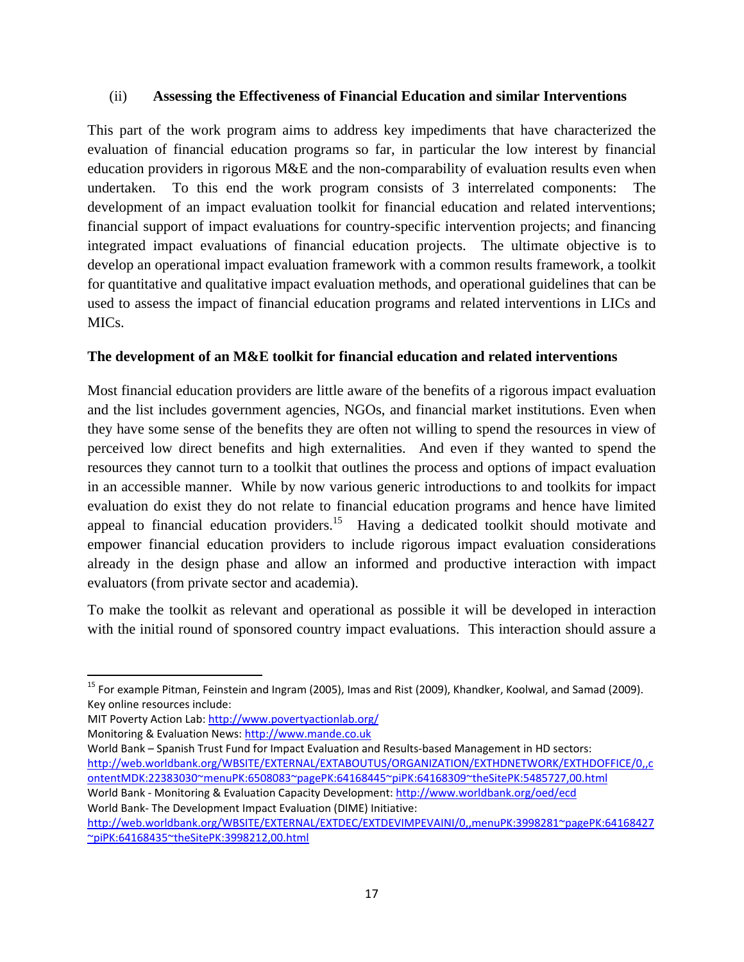### (ii) **Assessing the Effectiveness of Financial Education and similar Interventions**

This part of the work program aims to address key impediments that have characterized the evaluation of financial education programs so far, in particular the low interest by financial education providers in rigorous M&E and the non-comparability of evaluation results even when undertaken. To this end the work program consists of 3 interrelated components: The development of an impact evaluation toolkit for financial education and related interventions; financial support of impact evaluations for country-specific intervention projects; and financing integrated impact evaluations of financial education projects. The ultimate objective is to develop an operational impact evaluation framework with a common results framework, a toolkit for quantitative and qualitative impact evaluation methods, and operational guidelines that can be used to assess the impact of financial education programs and related interventions in LICs and MICs.

### **The development of an M&E toolkit for financial education and related interventions**

Most financial education providers are little aware of the benefits of a rigorous impact evaluation and the list includes government agencies, NGOs, and financial market institutions. Even when they have some sense of the benefits they are often not willing to spend the resources in view of perceived low direct benefits and high externalities. And even if they wanted to spend the resources they cannot turn to a toolkit that outlines the process and options of impact evaluation in an accessible manner. While by now various generic introductions to and toolkits for impact evaluation do exist they do not relate to financial education programs and hence have limited appeal to financial education providers.<sup>15</sup> Having a dedicated toolkit should motivate and empower financial education providers to include rigorous impact evaluation considerations already in the design phase and allow an informed and productive interaction with impact evaluators (from private sector and academia).

To make the toolkit as relevant and operational as possible it will be developed in interaction with the initial round of sponsored country impact evaluations. This interaction should assure a

MIT Poverty Action Lab: http://www.povertyactionlab.org/

Monitoring & Evaluation News: http://www.mande.co.uk

World Bank – Spanish Trust Fund for Impact Evaluation and Results‐based Management in HD sectors: http://web.worldbank.org/WBSITE/EXTERNAL/EXTABOUTUS/ORGANIZATION/EXTHDNETWORK/EXTHDOFFICE/0,,c ontentMDK:22383030~menuPK:6508083~pagePK:64168445~piPK:64168309~theSitePK:5485727,00.html World Bank ‐ Monitoring & Evaluation Capacity Development: http://www.worldbank.org/oed/ecd World Bank‐ The Development Impact Evaluation (DIME) Initiative:

<sup>&</sup>lt;sup>15</sup> For example Pitman, Feinstein and Ingram (2005), Imas and Rist (2009), Khandker, Koolwal, and Samad (2009). Key online resources include:

http://web.worldbank.org/WBSITE/EXTERNAL/EXTDEC/EXTDEVIMPEVAINI/0,,menuPK:3998281~pagePK:64168427 ~piPK:64168435~theSitePK:3998212,00.html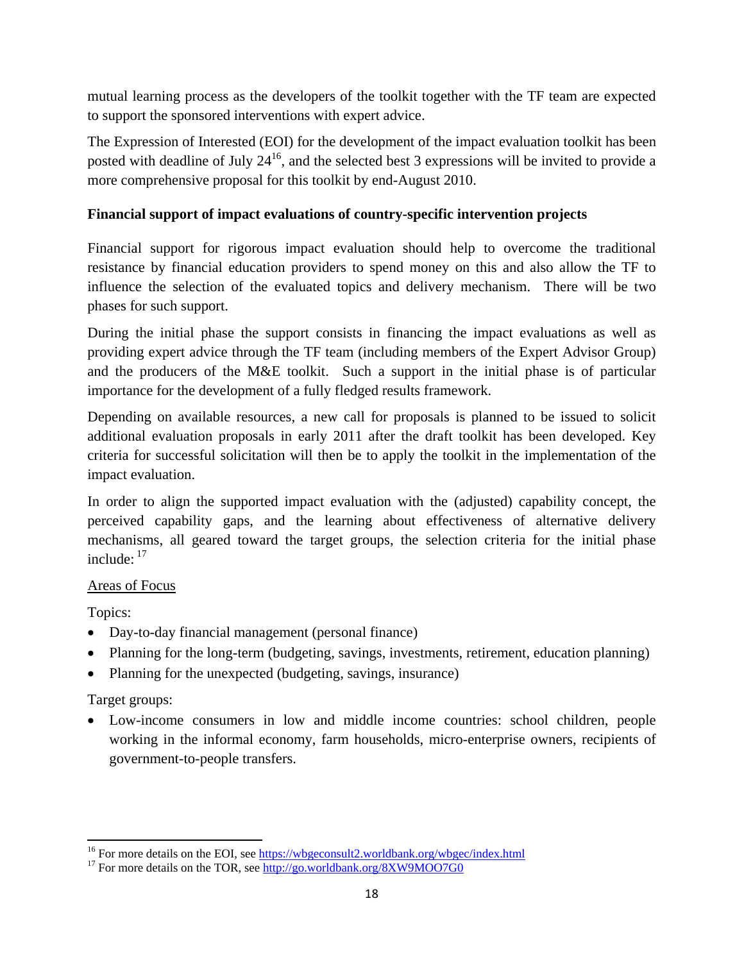mutual learning process as the developers of the toolkit together with the TF team are expected to support the sponsored interventions with expert advice.

The Expression of Interested (EOI) for the development of the impact evaluation toolkit has been posted with deadline of July  $24^{16}$ , and the selected best 3 expressions will be invited to provide a more comprehensive proposal for this toolkit by end-August 2010.

### **Financial support of impact evaluations of country-specific intervention projects**

Financial support for rigorous impact evaluation should help to overcome the traditional resistance by financial education providers to spend money on this and also allow the TF to influence the selection of the evaluated topics and delivery mechanism. There will be two phases for such support.

During the initial phase the support consists in financing the impact evaluations as well as providing expert advice through the TF team (including members of the Expert Advisor Group) and the producers of the M&E toolkit. Such a support in the initial phase is of particular importance for the development of a fully fledged results framework.

Depending on available resources, a new call for proposals is planned to be issued to solicit additional evaluation proposals in early 2011 after the draft toolkit has been developed. Key criteria for successful solicitation will then be to apply the toolkit in the implementation of the impact evaluation.

In order to align the supported impact evaluation with the (adjusted) capability concept, the perceived capability gaps, and the learning about effectiveness of alternative delivery mechanisms, all geared toward the target groups, the selection criteria for the initial phase include:  $17$ 

### Areas of Focus

Topics:

- Day-to-day financial management (personal finance)
- Planning for the long-term (budgeting, savings, investments, retirement, education planning)
- Planning for the unexpected (budgeting, savings, insurance)

# Target groups:

 Low-income consumers in low and middle income countries: school children, people working in the informal economy, farm households, micro-enterprise owners, recipients of government-to-people transfers.

<sup>&</sup>lt;sup>16</sup> For more details on the EOI, see <u>https://wbgeconsult2.worldbank.org/wbgec/index.html</u><br><sup>17</sup> For more details on the TOR, see <u>http://go.worldbank.org/8XW9MOO7G0</u>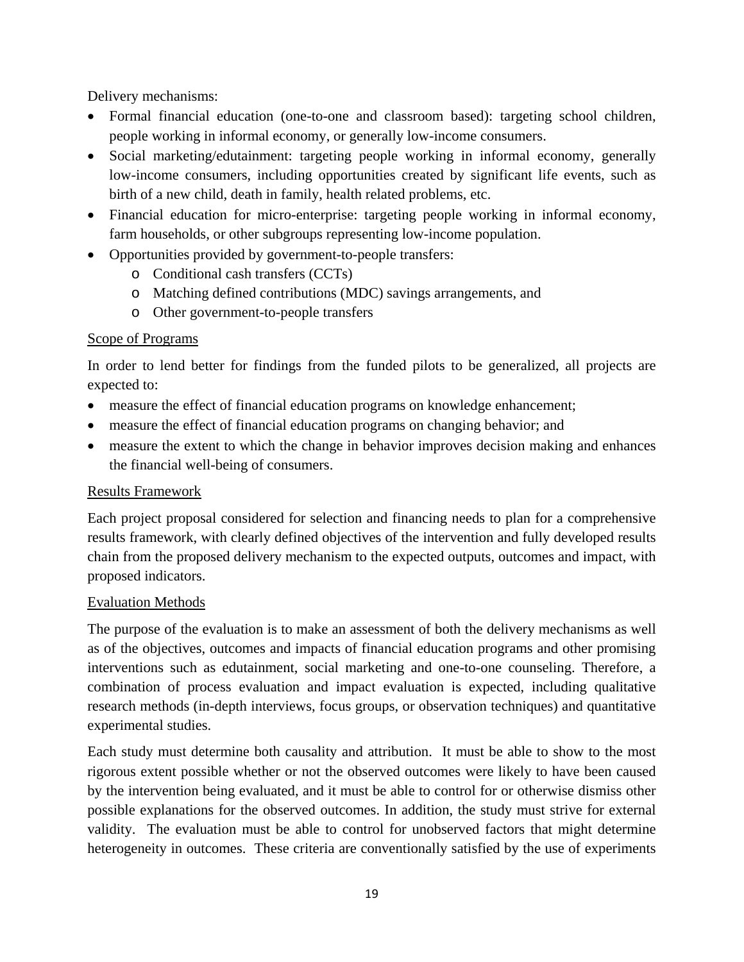Delivery mechanisms:

- Formal financial education (one-to-one and classroom based): targeting school children, people working in informal economy, or generally low-income consumers.
- Social marketing/edutainment: targeting people working in informal economy, generally low-income consumers, including opportunities created by significant life events, such as birth of a new child, death in family, health related problems, etc.
- Financial education for micro-enterprise: targeting people working in informal economy, farm households, or other subgroups representing low-income population.
- Opportunities provided by government-to-people transfers:
	- o Conditional cash transfers (CCTs)
	- o Matching defined contributions (MDC) savings arrangements, and
	- o Other government-to-people transfers

### Scope of Programs

In order to lend better for findings from the funded pilots to be generalized, all projects are expected to:

- measure the effect of financial education programs on knowledge enhancement;
- measure the effect of financial education programs on changing behavior; and
- measure the extent to which the change in behavior improves decision making and enhances the financial well-being of consumers.

### Results Framework

Each project proposal considered for selection and financing needs to plan for a comprehensive results framework, with clearly defined objectives of the intervention and fully developed results chain from the proposed delivery mechanism to the expected outputs, outcomes and impact, with proposed indicators.

### Evaluation Methods

The purpose of the evaluation is to make an assessment of both the delivery mechanisms as well as of the objectives, outcomes and impacts of financial education programs and other promising interventions such as edutainment, social marketing and one-to-one counseling. Therefore, a combination of process evaluation and impact evaluation is expected, including qualitative research methods (in-depth interviews, focus groups, or observation techniques) and quantitative experimental studies.

Each study must determine both causality and attribution. It must be able to show to the most rigorous extent possible whether or not the observed outcomes were likely to have been caused by the intervention being evaluated, and it must be able to control for or otherwise dismiss other possible explanations for the observed outcomes. In addition, the study must strive for external validity. The evaluation must be able to control for unobserved factors that might determine heterogeneity in outcomes. These criteria are conventionally satisfied by the use of experiments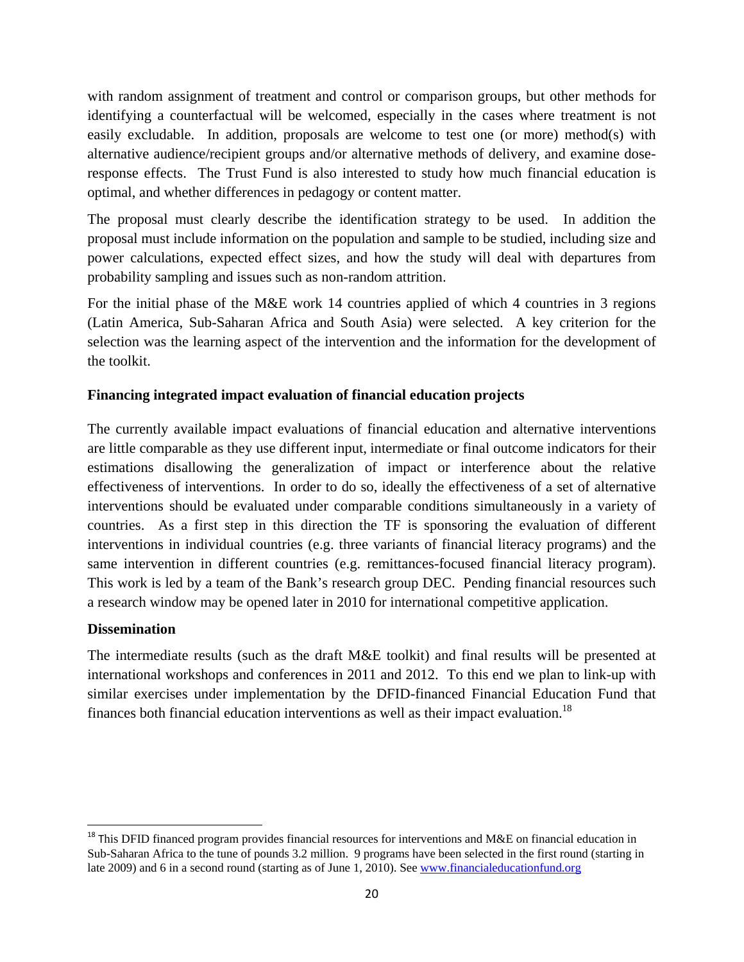with random assignment of treatment and control or comparison groups, but other methods for identifying a counterfactual will be welcomed, especially in the cases where treatment is not easily excludable. In addition, proposals are welcome to test one (or more) method(s) with alternative audience/recipient groups and/or alternative methods of delivery, and examine doseresponse effects. The Trust Fund is also interested to study how much financial education is optimal, and whether differences in pedagogy or content matter.

The proposal must clearly describe the identification strategy to be used. In addition the proposal must include information on the population and sample to be studied, including size and power calculations, expected effect sizes, and how the study will deal with departures from probability sampling and issues such as non-random attrition.

For the initial phase of the M&E work 14 countries applied of which 4 countries in 3 regions (Latin America, Sub-Saharan Africa and South Asia) were selected. A key criterion for the selection was the learning aspect of the intervention and the information for the development of the toolkit.

### **Financing integrated impact evaluation of financial education projects**

The currently available impact evaluations of financial education and alternative interventions are little comparable as they use different input, intermediate or final outcome indicators for their estimations disallowing the generalization of impact or interference about the relative effectiveness of interventions. In order to do so, ideally the effectiveness of a set of alternative interventions should be evaluated under comparable conditions simultaneously in a variety of countries. As a first step in this direction the TF is sponsoring the evaluation of different interventions in individual countries (e.g. three variants of financial literacy programs) and the same intervention in different countries (e.g. remittances-focused financial literacy program). This work is led by a team of the Bank's research group DEC. Pending financial resources such a research window may be opened later in 2010 for international competitive application.

### **Dissemination**

The intermediate results (such as the draft M&E toolkit) and final results will be presented at international workshops and conferences in 2011 and 2012. To this end we plan to link-up with similar exercises under implementation by the DFID-financed Financial Education Fund that finances both financial education interventions as well as their impact evaluation.<sup>18</sup>

<sup>&</sup>lt;sup>18</sup> This DFID financed program provides financial resources for interventions and M&E on financial education in Sub-Saharan Africa to the tune of pounds 3.2 million. 9 programs have been selected in the first round (starting in late 2009) and 6 in a second round (starting as of June 1, 2010). See www.financialeducationfund.org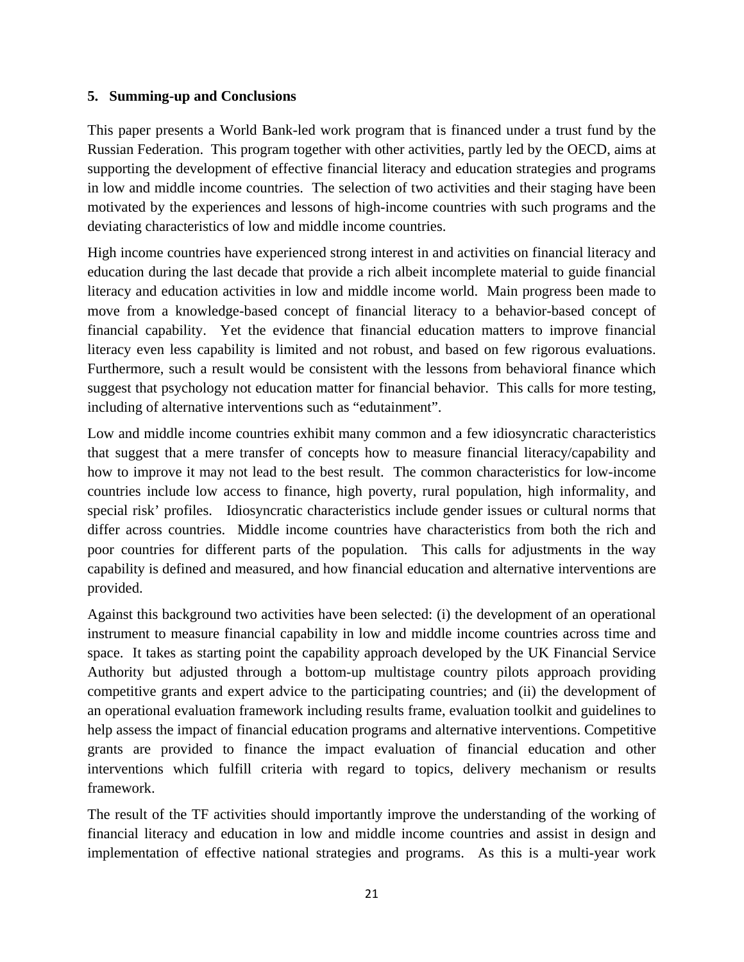### **5. Summing-up and Conclusions**

This paper presents a World Bank-led work program that is financed under a trust fund by the Russian Federation. This program together with other activities, partly led by the OECD, aims at supporting the development of effective financial literacy and education strategies and programs in low and middle income countries. The selection of two activities and their staging have been motivated by the experiences and lessons of high-income countries with such programs and the deviating characteristics of low and middle income countries.

High income countries have experienced strong interest in and activities on financial literacy and education during the last decade that provide a rich albeit incomplete material to guide financial literacy and education activities in low and middle income world. Main progress been made to move from a knowledge-based concept of financial literacy to a behavior-based concept of financial capability. Yet the evidence that financial education matters to improve financial literacy even less capability is limited and not robust, and based on few rigorous evaluations. Furthermore, such a result would be consistent with the lessons from behavioral finance which suggest that psychology not education matter for financial behavior. This calls for more testing, including of alternative interventions such as "edutainment".

Low and middle income countries exhibit many common and a few idiosyncratic characteristics that suggest that a mere transfer of concepts how to measure financial literacy/capability and how to improve it may not lead to the best result. The common characteristics for low-income countries include low access to finance, high poverty, rural population, high informality, and special risk' profiles. Idiosyncratic characteristics include gender issues or cultural norms that differ across countries. Middle income countries have characteristics from both the rich and poor countries for different parts of the population. This calls for adjustments in the way capability is defined and measured, and how financial education and alternative interventions are provided.

Against this background two activities have been selected: (i) the development of an operational instrument to measure financial capability in low and middle income countries across time and space. It takes as starting point the capability approach developed by the UK Financial Service Authority but adjusted through a bottom-up multistage country pilots approach providing competitive grants and expert advice to the participating countries; and (ii) the development of an operational evaluation framework including results frame, evaluation toolkit and guidelines to help assess the impact of financial education programs and alternative interventions. Competitive grants are provided to finance the impact evaluation of financial education and other interventions which fulfill criteria with regard to topics, delivery mechanism or results framework.

The result of the TF activities should importantly improve the understanding of the working of financial literacy and education in low and middle income countries and assist in design and implementation of effective national strategies and programs. As this is a multi-year work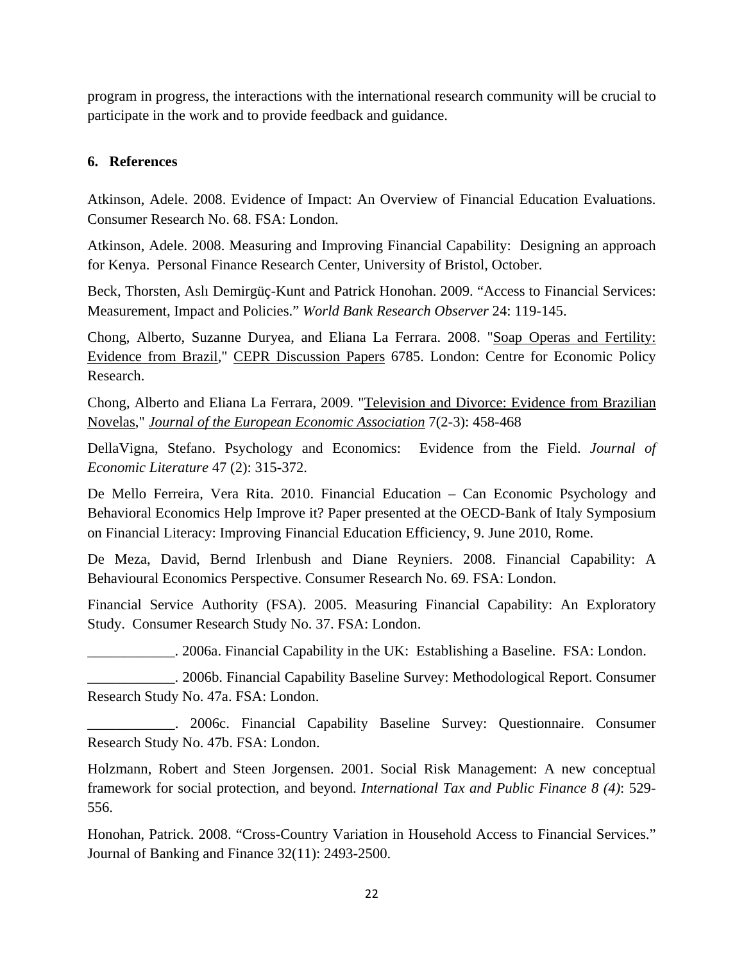program in progress, the interactions with the international research community will be crucial to participate in the work and to provide feedback and guidance.

### **6. References**

Atkinson, Adele. 2008. Evidence of Impact: An Overview of Financial Education Evaluations. Consumer Research No. 68. FSA: London.

Atkinson, Adele. 2008. Measuring and Improving Financial Capability: Designing an approach for Kenya. Personal Finance Research Center, University of Bristol, October.

Beck, Thorsten, Aslı Demirgüç-Kunt and Patrick Honohan. 2009. "Access to Financial Services: Measurement, Impact and Policies." *World Bank Research Observer* 24: 119-145.

Chong, Alberto, Suzanne Duryea, and Eliana La Ferrara. 2008. "Soap Operas and Fertility: Evidence from Brazil," CEPR Discussion Papers 6785. London: Centre for Economic Policy Research.

Chong, Alberto and Eliana La Ferrara, 2009. "Television and Divorce: Evidence from Brazilian Novelas," *Journal of the European Economic Association* 7(2-3): 458-468

DellaVigna, Stefano. Psychology and Economics: Evidence from the Field. *Journal of Economic Literature* 47 (2): 315-372.

De Mello Ferreira, Vera Rita. 2010. Financial Education – Can Economic Psychology and Behavioral Economics Help Improve it? Paper presented at the OECD-Bank of Italy Symposium on Financial Literacy: Improving Financial Education Efficiency, 9. June 2010, Rome.

De Meza, David, Bernd Irlenbush and Diane Reyniers. 2008. Financial Capability: A Behavioural Economics Perspective. Consumer Research No. 69. FSA: London.

Financial Service Authority (FSA). 2005. Measuring Financial Capability: An Exploratory Study. Consumer Research Study No. 37. FSA: London.

\_\_\_\_\_\_\_\_\_\_\_\_. 2006a. Financial Capability in the UK: Establishing a Baseline. FSA: London.

\_\_\_\_\_\_\_\_\_\_\_\_. 2006b. Financial Capability Baseline Survey: Methodological Report. Consumer Research Study No. 47a. FSA: London.

\_\_\_\_\_\_\_\_\_\_\_\_. 2006c. Financial Capability Baseline Survey: Questionnaire. Consumer Research Study No. 47b. FSA: London.

Holzmann, Robert and Steen Jorgensen. 2001. Social Risk Management: A new conceptual framework for social protection, and beyond. *International Tax and Public Finance 8 (4)*: 529- 556.

Honohan, Patrick. 2008. "Cross-Country Variation in Household Access to Financial Services." Journal of Banking and Finance 32(11): 2493-2500.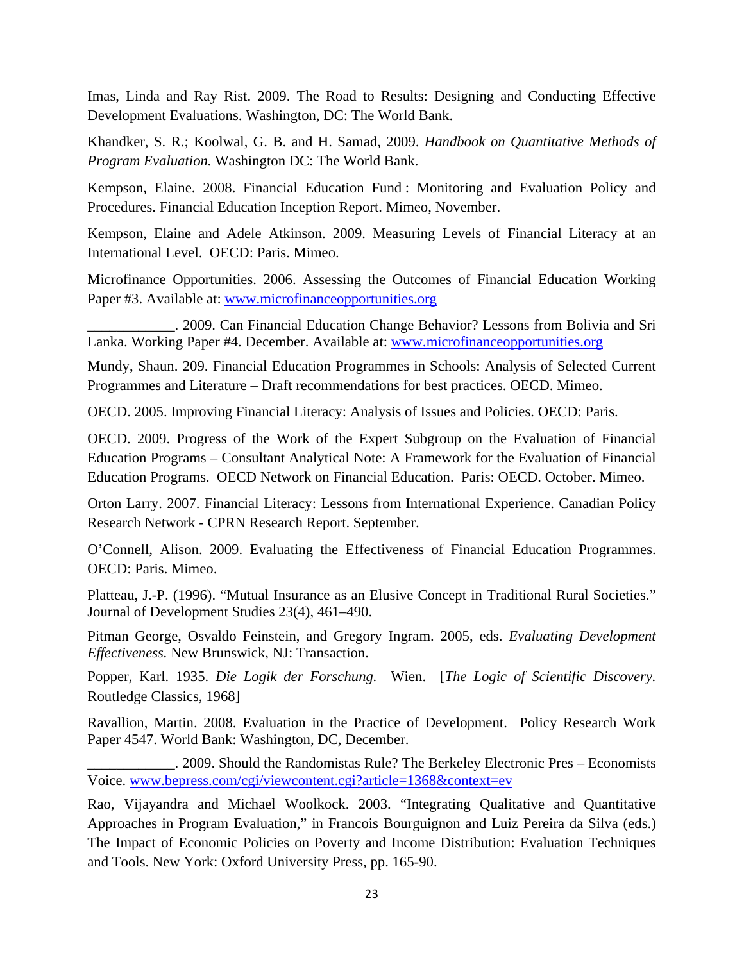Imas, Linda and Ray Rist. 2009. The Road to Results: Designing and Conducting Effective Development Evaluations. Washington, DC: The World Bank.

Khandker, S. R.; Koolwal, G. B. and H. Samad, 2009. *Handbook on Quantitative Methods of Program Evaluation.* Washington DC: The World Bank.

Kempson, Elaine. 2008. Financial Education Fund : Monitoring and Evaluation Policy and Procedures. Financial Education Inception Report. Mimeo, November.

Kempson, Elaine and Adele Atkinson. 2009. Measuring Levels of Financial Literacy at an International Level. OECD: Paris. Mimeo.

Microfinance Opportunities. 2006. Assessing the Outcomes of Financial Education Working Paper #3. Available at: www.microfinanceopportunities.org

\_\_\_\_\_\_\_\_\_\_\_\_. 2009. Can Financial Education Change Behavior? Lessons from Bolivia and Sri Lanka. Working Paper #4. December. Available at: www.microfinanceopportunities.org

Mundy, Shaun. 209. Financial Education Programmes in Schools: Analysis of Selected Current Programmes and Literature – Draft recommendations for best practices. OECD. Mimeo.

OECD. 2005. Improving Financial Literacy: Analysis of Issues and Policies. OECD: Paris.

OECD. 2009. Progress of the Work of the Expert Subgroup on the Evaluation of Financial Education Programs – Consultant Analytical Note: A Framework for the Evaluation of Financial Education Programs. OECD Network on Financial Education. Paris: OECD. October. Mimeo.

Orton Larry. 2007. Financial Literacy: Lessons from International Experience. Canadian Policy Research Network - CPRN Research Report. September.

O'Connell, Alison. 2009. Evaluating the Effectiveness of Financial Education Programmes. OECD: Paris. Mimeo.

Platteau, J.-P. (1996). "Mutual Insurance as an Elusive Concept in Traditional Rural Societies." Journal of Development Studies 23(4), 461–490.

Pitman George, Osvaldo Feinstein, and Gregory Ingram. 2005, eds. *Evaluating Development Effectiveness.* New Brunswick, NJ: Transaction.

Popper, Karl. 1935. *Die Logik der Forschung.* Wien. [*The Logic of Scientific Discovery.*  Routledge Classics, 1968]

Ravallion, Martin. 2008. Evaluation in the Practice of Development. Policy Research Work Paper 4547. World Bank: Washington, DC, December.

\_\_\_\_\_\_\_\_\_\_\_\_. 2009. Should the Randomistas Rule? The Berkeley Electronic Pres – Economists Voice. www.bepress.com/cgi/viewcontent.cgi?article=1368&context=ev

Rao, Vijayandra and Michael Woolkock. 2003. "Integrating Qualitative and Quantitative Approaches in Program Evaluation," in Francois Bourguignon and Luiz Pereira da Silva (eds.) The Impact of Economic Policies on Poverty and Income Distribution: Evaluation Techniques and Tools. New York: Oxford University Press, pp. 165-90.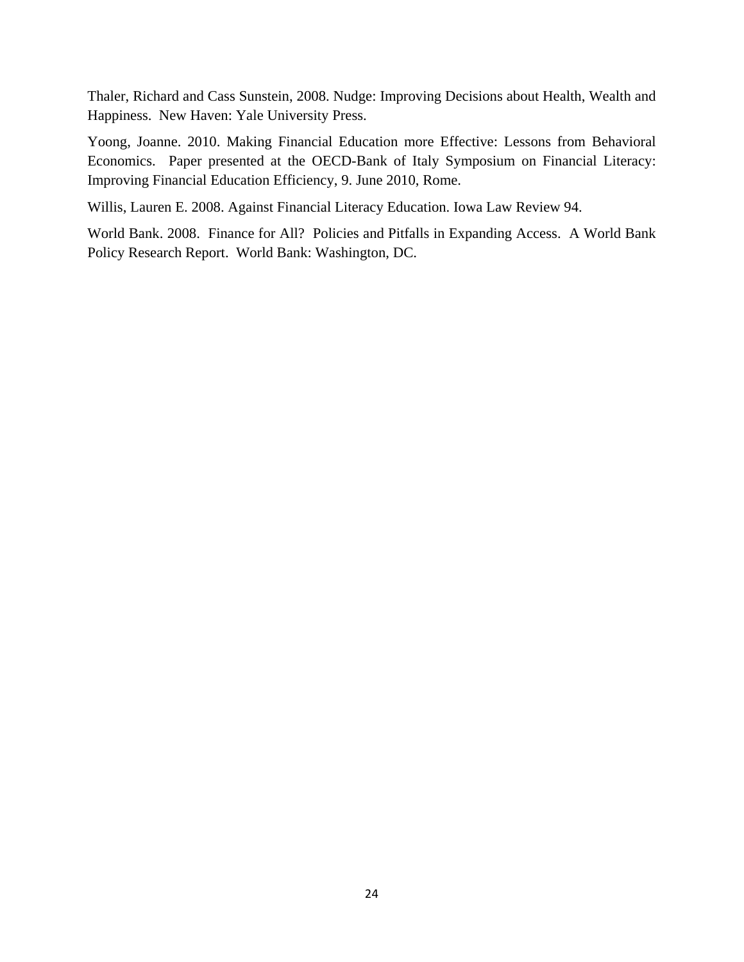Thaler, Richard and Cass Sunstein, 2008. Nudge: Improving Decisions about Health, Wealth and Happiness. New Haven: Yale University Press.

Yoong, Joanne. 2010. Making Financial Education more Effective: Lessons from Behavioral Economics. Paper presented at the OECD-Bank of Italy Symposium on Financial Literacy: Improving Financial Education Efficiency, 9. June 2010, Rome.

Willis, Lauren E. 2008. Against Financial Literacy Education. Iowa Law Review 94.

World Bank. 2008. Finance for All? Policies and Pitfalls in Expanding Access. A World Bank Policy Research Report. World Bank: Washington, DC.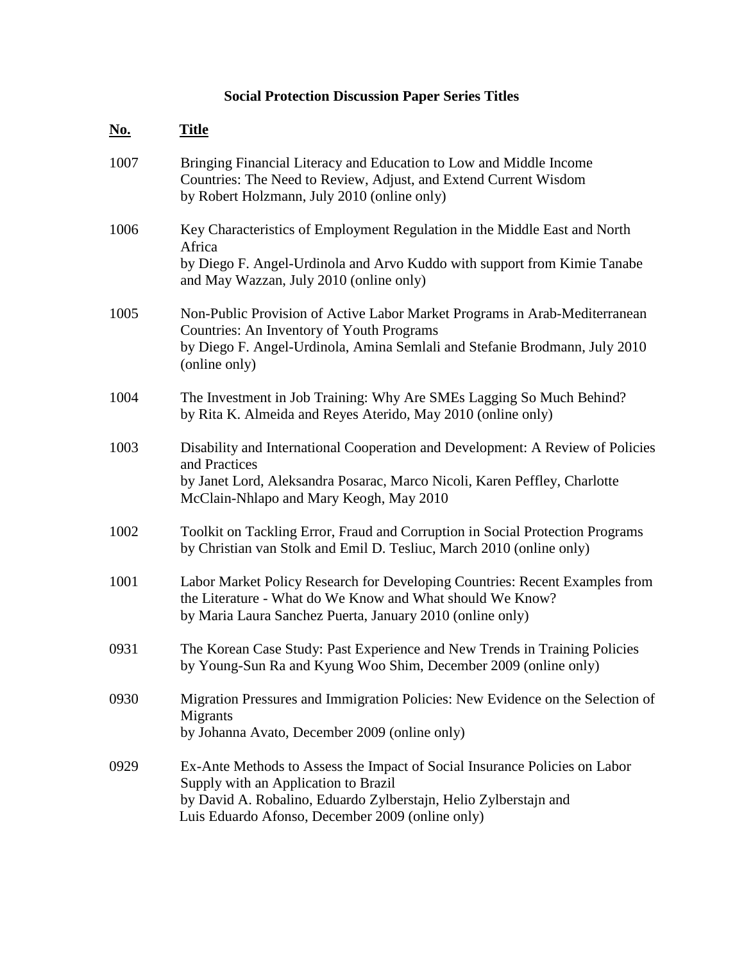# **Social Protection Discussion Paper Series Titles**

| <u>No.</u> | <b>Title</b>                                                                                                                                                                                                                               |
|------------|--------------------------------------------------------------------------------------------------------------------------------------------------------------------------------------------------------------------------------------------|
| 1007       | Bringing Financial Literacy and Education to Low and Middle Income<br>Countries: The Need to Review, Adjust, and Extend Current Wisdom<br>by Robert Holzmann, July 2010 (online only)                                                      |
| 1006       | Key Characteristics of Employment Regulation in the Middle East and North<br>Africa<br>by Diego F. Angel-Urdinola and Arvo Kuddo with support from Kimie Tanabe<br>and May Wazzan, July 2010 (online only)                                 |
| 1005       | Non-Public Provision of Active Labor Market Programs in Arab-Mediterranean<br>Countries: An Inventory of Youth Programs<br>by Diego F. Angel-Urdinola, Amina Semlali and Stefanie Brodmann, July 2010<br>(online only)                     |
| 1004       | The Investment in Job Training: Why Are SMEs Lagging So Much Behind?<br>by Rita K. Almeida and Reyes Aterido, May 2010 (online only)                                                                                                       |
| 1003       | Disability and International Cooperation and Development: A Review of Policies<br>and Practices<br>by Janet Lord, Aleksandra Posarac, Marco Nicoli, Karen Peffley, Charlotte<br>McClain-Nhlapo and Mary Keogh, May 2010                    |
| 1002       | Toolkit on Tackling Error, Fraud and Corruption in Social Protection Programs<br>by Christian van Stolk and Emil D. Tesliuc, March 2010 (online only)                                                                                      |
| 1001       | Labor Market Policy Research for Developing Countries: Recent Examples from<br>the Literature - What do We Know and What should We Know?<br>by Maria Laura Sanchez Puerta, January 2010 (online only)                                      |
| 0931       | The Korean Case Study: Past Experience and New Trends in Training Policies<br>by Young-Sun Ra and Kyung Woo Shim, December 2009 (online only)                                                                                              |
| 0930       | Migration Pressures and Immigration Policies: New Evidence on the Selection of<br>Migrants<br>by Johanna Avato, December 2009 (online only)                                                                                                |
| 0929       | Ex-Ante Methods to Assess the Impact of Social Insurance Policies on Labor<br>Supply with an Application to Brazil<br>by David A. Robalino, Eduardo Zylberstajn, Helio Zylberstajn and<br>Luis Eduardo Afonso, December 2009 (online only) |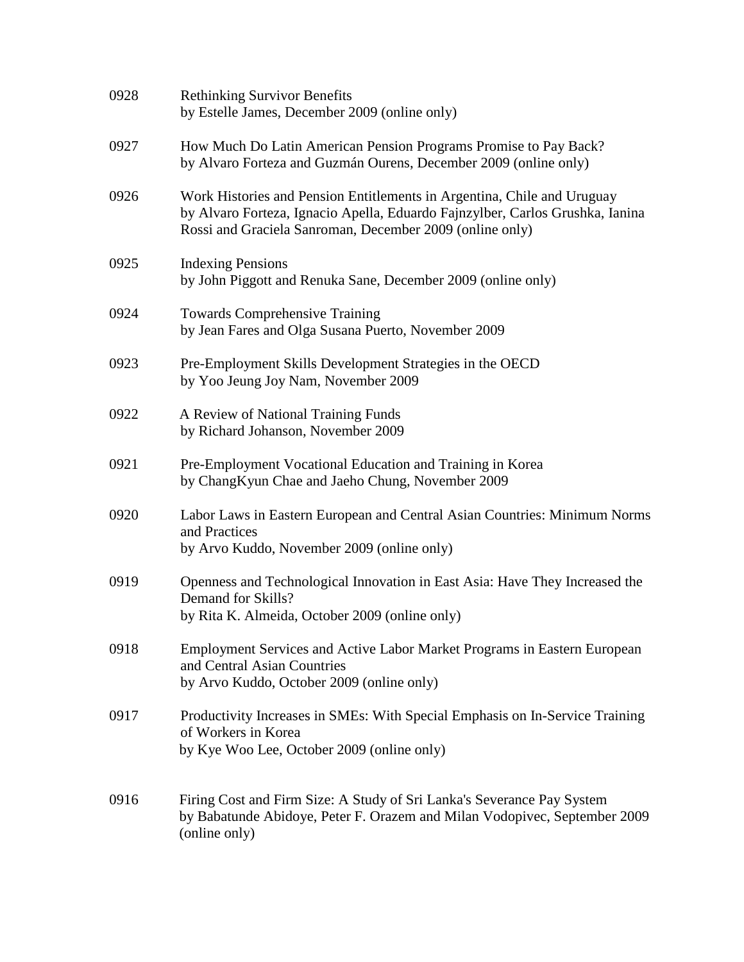| 0928 | <b>Rethinking Survivor Benefits</b><br>by Estelle James, December 2009 (online only)                                                                                                                                 |
|------|----------------------------------------------------------------------------------------------------------------------------------------------------------------------------------------------------------------------|
| 0927 | How Much Do Latin American Pension Programs Promise to Pay Back?<br>by Alvaro Forteza and Guzmán Ourens, December 2009 (online only)                                                                                 |
| 0926 | Work Histories and Pension Entitlements in Argentina, Chile and Uruguay<br>by Alvaro Forteza, Ignacio Apella, Eduardo Fajnzylber, Carlos Grushka, Ianina<br>Rossi and Graciela Sanroman, December 2009 (online only) |
| 0925 | <b>Indexing Pensions</b><br>by John Piggott and Renuka Sane, December 2009 (online only)                                                                                                                             |
| 0924 | <b>Towards Comprehensive Training</b><br>by Jean Fares and Olga Susana Puerto, November 2009                                                                                                                         |
| 0923 | Pre-Employment Skills Development Strategies in the OECD<br>by Yoo Jeung Joy Nam, November 2009                                                                                                                      |
| 0922 | A Review of National Training Funds<br>by Richard Johanson, November 2009                                                                                                                                            |
| 0921 | Pre-Employment Vocational Education and Training in Korea<br>by ChangKyun Chae and Jaeho Chung, November 2009                                                                                                        |
| 0920 | Labor Laws in Eastern European and Central Asian Countries: Minimum Norms<br>and Practices<br>by Arvo Kuddo, November 2009 (online only)                                                                             |
| 0919 | Openness and Technological Innovation in East Asia: Have They Increased the<br>Demand for Skills?<br>by Rita K. Almeida, October 2009 (online only)                                                                  |
| 0918 | Employment Services and Active Labor Market Programs in Eastern European<br>and Central Asian Countries<br>by Arvo Kuddo, October 2009 (online only)                                                                 |
| 0917 | Productivity Increases in SMEs: With Special Emphasis on In-Service Training<br>of Workers in Korea<br>by Kye Woo Lee, October 2009 (online only)                                                                    |
| 0916 | Firing Cost and Firm Size: A Study of Sri Lanka's Severance Pay System<br>by Babatunde Abidoye, Peter F. Orazem and Milan Vodopivec, September 2009<br>(online only)                                                 |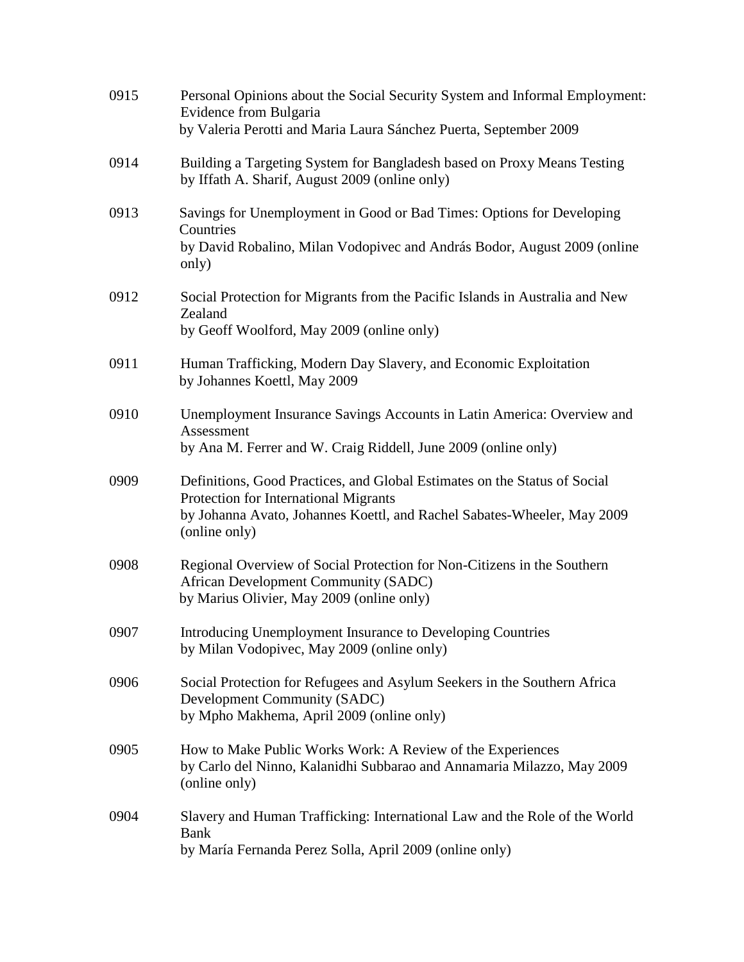| 0915 | Personal Opinions about the Social Security System and Informal Employment:<br>Evidence from Bulgaria<br>by Valeria Perotti and Maria Laura Sánchez Puerta, September 2009                                     |
|------|----------------------------------------------------------------------------------------------------------------------------------------------------------------------------------------------------------------|
| 0914 | Building a Targeting System for Bangladesh based on Proxy Means Testing<br>by Iffath A. Sharif, August 2009 (online only)                                                                                      |
| 0913 | Savings for Unemployment in Good or Bad Times: Options for Developing<br>Countries<br>by David Robalino, Milan Vodopivec and András Bodor, August 2009 (online<br>only)                                        |
| 0912 | Social Protection for Migrants from the Pacific Islands in Australia and New<br>Zealand<br>by Geoff Woolford, May 2009 (online only)                                                                           |
| 0911 | Human Trafficking, Modern Day Slavery, and Economic Exploitation<br>by Johannes Koettl, May 2009                                                                                                               |
| 0910 | Unemployment Insurance Savings Accounts in Latin America: Overview and<br>Assessment<br>by Ana M. Ferrer and W. Craig Riddell, June 2009 (online only)                                                         |
| 0909 | Definitions, Good Practices, and Global Estimates on the Status of Social<br>Protection for International Migrants<br>by Johanna Avato, Johannes Koettl, and Rachel Sabates-Wheeler, May 2009<br>(online only) |
| 0908 | Regional Overview of Social Protection for Non-Citizens in the Southern<br>African Development Community (SADC)<br>by Marius Olivier, May 2009 (online only)                                                   |
| 0907 | Introducing Unemployment Insurance to Developing Countries<br>by Milan Vodopivec, May 2009 (online only)                                                                                                       |
| 0906 | Social Protection for Refugees and Asylum Seekers in the Southern Africa<br>Development Community (SADC)<br>by Mpho Makhema, April 2009 (online only)                                                          |
| 0905 | How to Make Public Works Work: A Review of the Experiences<br>by Carlo del Ninno, Kalanidhi Subbarao and Annamaria Milazzo, May 2009<br>(online only)                                                          |
| 0904 | Slavery and Human Trafficking: International Law and the Role of the World<br><b>Bank</b><br>by María Fernanda Perez Solla, April 2009 (online only)                                                           |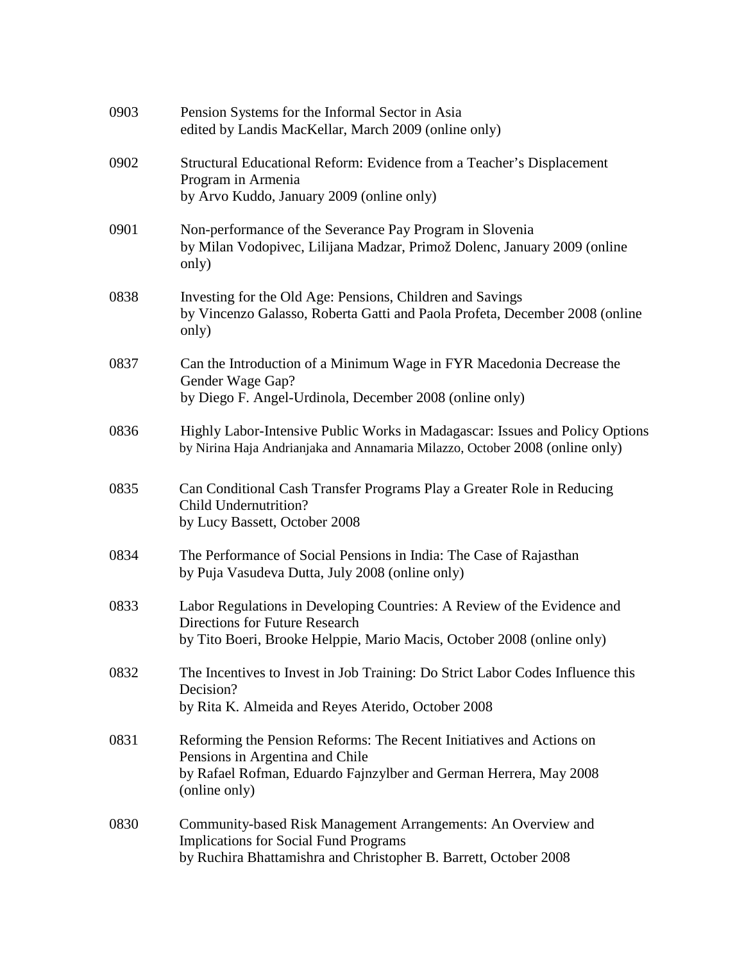| 0903 | Pension Systems for the Informal Sector in Asia<br>edited by Landis MacKellar, March 2009 (online only)                                                                                       |
|------|-----------------------------------------------------------------------------------------------------------------------------------------------------------------------------------------------|
| 0902 | Structural Educational Reform: Evidence from a Teacher's Displacement<br>Program in Armenia<br>by Arvo Kuddo, January 2009 (online only)                                                      |
| 0901 | Non-performance of the Severance Pay Program in Slovenia<br>by Milan Vodopivec, Lilijana Madzar, Primož Dolenc, January 2009 (online<br>only)                                                 |
| 0838 | Investing for the Old Age: Pensions, Children and Savings<br>by Vincenzo Galasso, Roberta Gatti and Paola Profeta, December 2008 (online<br>only)                                             |
| 0837 | Can the Introduction of a Minimum Wage in FYR Macedonia Decrease the<br>Gender Wage Gap?<br>by Diego F. Angel-Urdinola, December 2008 (online only)                                           |
| 0836 | Highly Labor-Intensive Public Works in Madagascar: Issues and Policy Options<br>by Nirina Haja Andrianjaka and Annamaria Milazzo, October 2008 (online only)                                  |
| 0835 | Can Conditional Cash Transfer Programs Play a Greater Role in Reducing<br><b>Child Undernutrition?</b><br>by Lucy Bassett, October 2008                                                       |
| 0834 | The Performance of Social Pensions in India: The Case of Rajasthan<br>by Puja Vasudeva Dutta, July 2008 (online only)                                                                         |
| 0833 | Labor Regulations in Developing Countries: A Review of the Evidence and<br>Directions for Future Research<br>by Tito Boeri, Brooke Helppie, Mario Macis, October 2008 (online only)           |
| 0832 | The Incentives to Invest in Job Training: Do Strict Labor Codes Influence this<br>Decision?<br>by Rita K. Almeida and Reyes Aterido, October 2008                                             |
| 0831 | Reforming the Pension Reforms: The Recent Initiatives and Actions on<br>Pensions in Argentina and Chile<br>by Rafael Rofman, Eduardo Fajnzylber and German Herrera, May 2008<br>(online only) |
| 0830 | Community-based Risk Management Arrangements: An Overview and<br><b>Implications for Social Fund Programs</b><br>by Ruchira Bhattamishra and Christopher B. Barrett, October 2008             |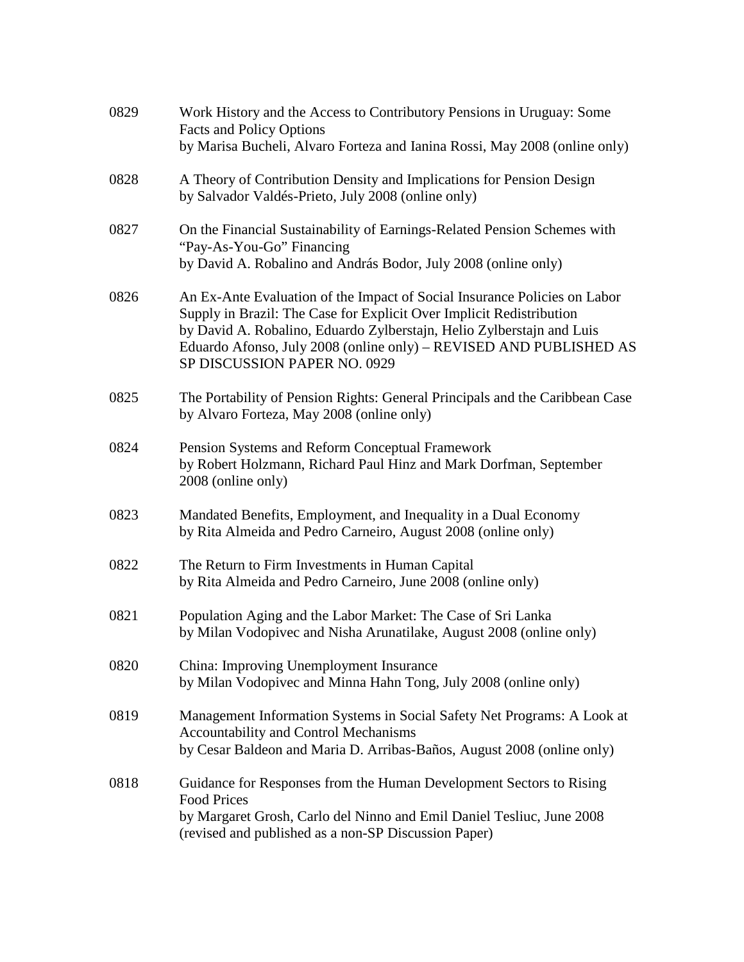| 0829 | Work History and the Access to Contributory Pensions in Uruguay: Some<br><b>Facts and Policy Options</b><br>by Marisa Bucheli, Alvaro Forteza and Ianina Rossi, May 2008 (online only)                                                                                                                                           |
|------|----------------------------------------------------------------------------------------------------------------------------------------------------------------------------------------------------------------------------------------------------------------------------------------------------------------------------------|
| 0828 | A Theory of Contribution Density and Implications for Pension Design<br>by Salvador Valdés-Prieto, July 2008 (online only)                                                                                                                                                                                                       |
| 0827 | On the Financial Sustainability of Earnings-Related Pension Schemes with<br>"Pay-As-You-Go" Financing<br>by David A. Robalino and András Bodor, July 2008 (online only)                                                                                                                                                          |
| 0826 | An Ex-Ante Evaluation of the Impact of Social Insurance Policies on Labor<br>Supply in Brazil: The Case for Explicit Over Implicit Redistribution<br>by David A. Robalino, Eduardo Zylberstajn, Helio Zylberstajn and Luis<br>Eduardo Afonso, July 2008 (online only) – REVISED AND PUBLISHED AS<br>SP DISCUSSION PAPER NO. 0929 |
| 0825 | The Portability of Pension Rights: General Principals and the Caribbean Case<br>by Alvaro Forteza, May 2008 (online only)                                                                                                                                                                                                        |
| 0824 | Pension Systems and Reform Conceptual Framework<br>by Robert Holzmann, Richard Paul Hinz and Mark Dorfman, September<br>2008 (online only)                                                                                                                                                                                       |
| 0823 | Mandated Benefits, Employment, and Inequality in a Dual Economy<br>by Rita Almeida and Pedro Carneiro, August 2008 (online only)                                                                                                                                                                                                 |
| 0822 | The Return to Firm Investments in Human Capital<br>by Rita Almeida and Pedro Carneiro, June 2008 (online only)                                                                                                                                                                                                                   |
| 0821 | Population Aging and the Labor Market: The Case of Sri Lanka<br>by Milan Vodopivec and Nisha Arunatilake, August 2008 (online only)                                                                                                                                                                                              |
| 0820 | China: Improving Unemployment Insurance<br>by Milan Vodopivec and Minna Hahn Tong, July 2008 (online only)                                                                                                                                                                                                                       |
| 0819 | Management Information Systems in Social Safety Net Programs: A Look at<br>Accountability and Control Mechanisms<br>by Cesar Baldeon and Maria D. Arribas-Baños, August 2008 (online only)                                                                                                                                       |
| 0818 | Guidance for Responses from the Human Development Sectors to Rising<br><b>Food Prices</b><br>by Margaret Grosh, Carlo del Ninno and Emil Daniel Tesliuc, June 2008<br>(revised and published as a non-SP Discussion Paper)                                                                                                       |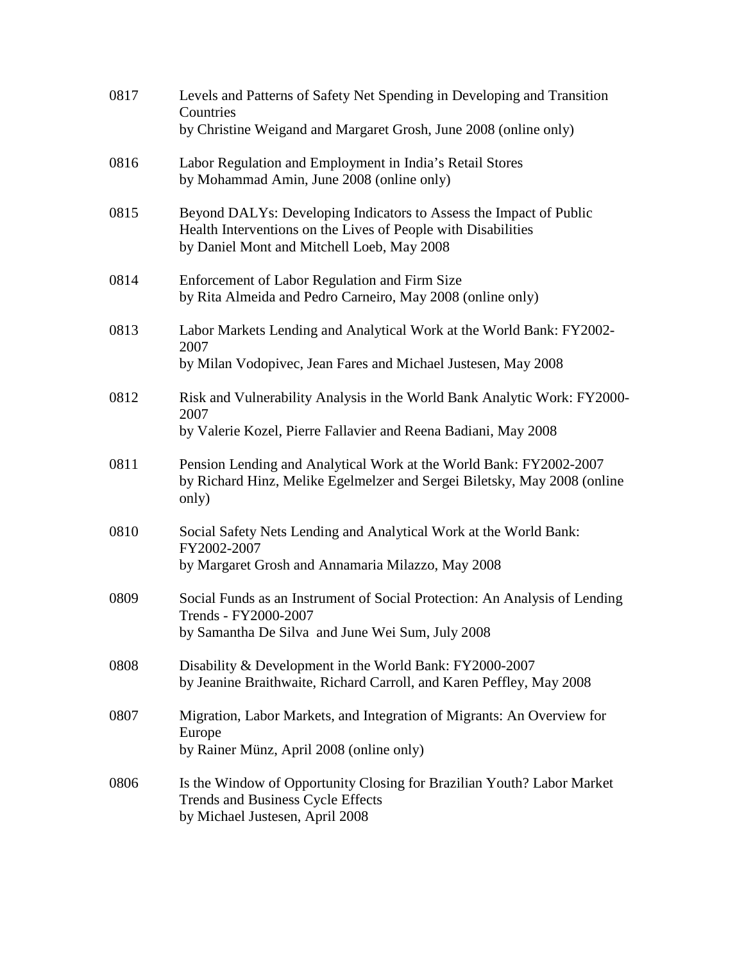| 0817 | Levels and Patterns of Safety Net Spending in Developing and Transition<br>Countries<br>by Christine Weigand and Margaret Grosh, June 2008 (online only)                          |
|------|-----------------------------------------------------------------------------------------------------------------------------------------------------------------------------------|
| 0816 | Labor Regulation and Employment in India's Retail Stores<br>by Mohammad Amin, June 2008 (online only)                                                                             |
| 0815 | Beyond DALYs: Developing Indicators to Assess the Impact of Public<br>Health Interventions on the Lives of People with Disabilities<br>by Daniel Mont and Mitchell Loeb, May 2008 |
| 0814 | Enforcement of Labor Regulation and Firm Size<br>by Rita Almeida and Pedro Carneiro, May 2008 (online only)                                                                       |
| 0813 | Labor Markets Lending and Analytical Work at the World Bank: FY2002-<br>2007<br>by Milan Vodopivec, Jean Fares and Michael Justesen, May 2008                                     |
| 0812 | Risk and Vulnerability Analysis in the World Bank Analytic Work: FY2000-<br>2007<br>by Valerie Kozel, Pierre Fallavier and Reena Badiani, May 2008                                |
| 0811 | Pension Lending and Analytical Work at the World Bank: FY2002-2007<br>by Richard Hinz, Melike Egelmelzer and Sergei Biletsky, May 2008 (online<br>only)                           |
| 0810 | Social Safety Nets Lending and Analytical Work at the World Bank:<br>FY2002-2007<br>by Margaret Grosh and Annamaria Milazzo, May 2008                                             |
| 0809 | Social Funds as an Instrument of Social Protection: An Analysis of Lending<br>Trends - FY2000-2007<br>by Samantha De Silva and June Wei Sum, July 2008                            |
| 0808 | Disability & Development in the World Bank: FY2000-2007<br>by Jeanine Braithwaite, Richard Carroll, and Karen Peffley, May 2008                                                   |
| 0807 | Migration, Labor Markets, and Integration of Migrants: An Overview for<br>Europe<br>by Rainer Münz, April 2008 (online only)                                                      |
| 0806 | Is the Window of Opportunity Closing for Brazilian Youth? Labor Market<br>Trends and Business Cycle Effects<br>by Michael Justesen, April 2008                                    |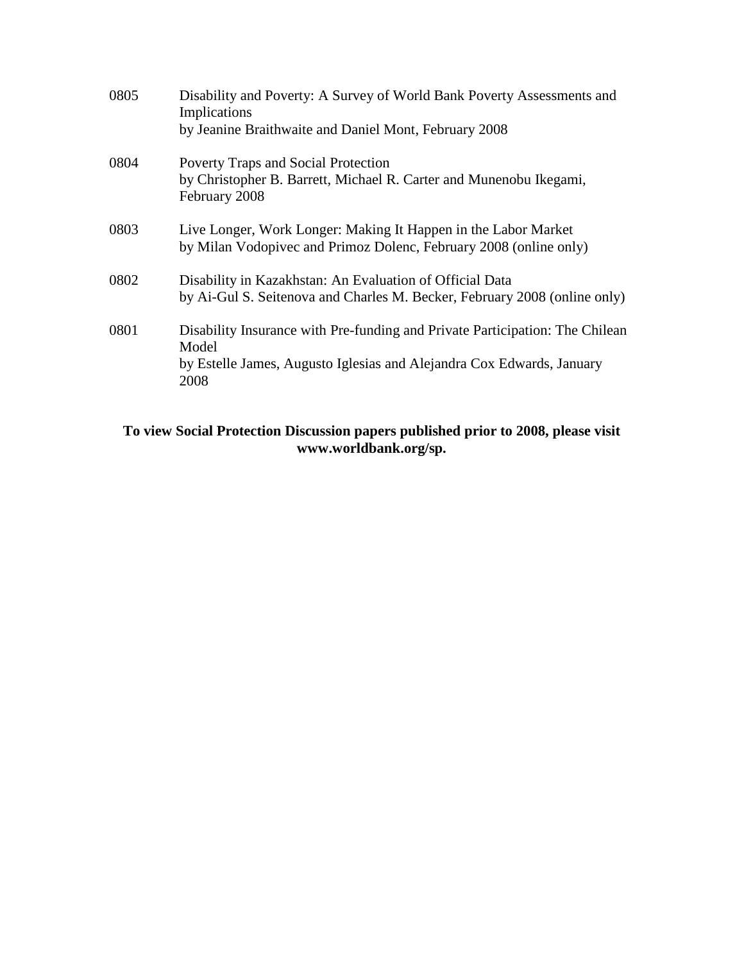| 0805 | Disability and Poverty: A Survey of World Bank Poverty Assessments and<br>Implications<br>by Jeanine Braithwaite and Daniel Mont, February 2008                        |
|------|------------------------------------------------------------------------------------------------------------------------------------------------------------------------|
| 0804 | Poverty Traps and Social Protection<br>by Christopher B. Barrett, Michael R. Carter and Munenobu Ikegami,<br>February 2008                                             |
| 0803 | Live Longer, Work Longer: Making It Happen in the Labor Market<br>by Milan Vodopivec and Primoz Dolenc, February 2008 (online only)                                    |
| 0802 | Disability in Kazakhstan: An Evaluation of Official Data<br>by Ai-Gul S. Seitenova and Charles M. Becker, February 2008 (online only)                                  |
| 0801 | Disability Insurance with Pre-funding and Private Participation: The Chilean<br>Model<br>by Estelle James, Augusto Iglesias and Alejandra Cox Edwards, January<br>2008 |

#### **To view Social Protection Discussion papers published prior to 2008, please visit www.worldbank.org/sp.**